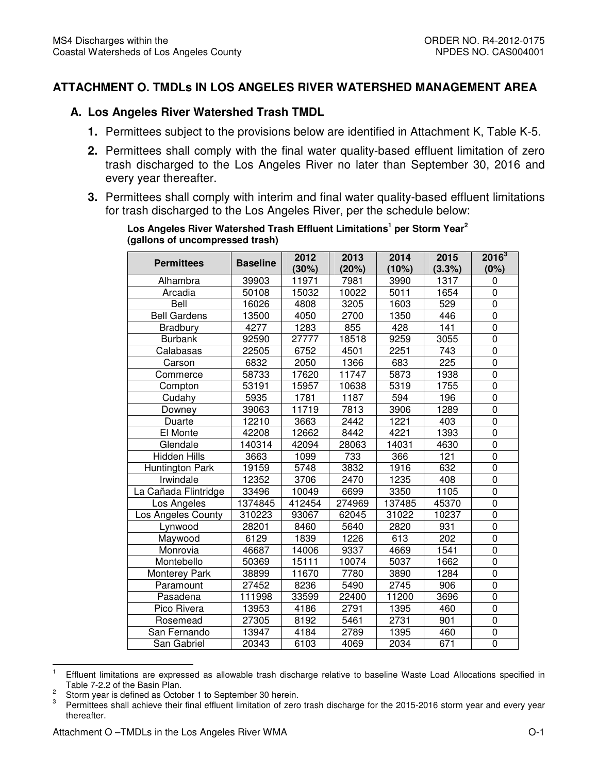## **ATTACHMENT O. TMDLs IN LOS ANGELES RIVER WATERSHED MANAGEMENT AREA**

## **A. Los Angeles River Watershed Trash TMDL**

- **1.** Permittees subject to the provisions below are identified in Attachment K, Table K-5.
- **2.** Permittees shall comply with the final water quality-based effluent limitation of zero trash discharged to the Los Angeles River no later than September 30, 2016 and every year thereafter.
- **3.** Permittees shall comply with interim and final water quality-based effluent limitations for trash discharged to the Los Angeles River, per the schedule below:

| <b>Permittees</b>      | <b>Baseline</b> | 2012   | 2013   | 2014   | 2015   | $2016^3$         |
|------------------------|-----------------|--------|--------|--------|--------|------------------|
|                        |                 | (30%)  | (20%)  | (10%)  | (3.3%) | (0%)             |
| Alhambra               | 39903           | 11971  | 7981   | 3990   | 1317   | 0                |
| Arcadia                | 50108           | 15032  | 10022  | 5011   | 1654   | 0                |
| Bell                   | 16026           | 4808   | 3205   | 1603   | 529    | $\pmb{0}$        |
| <b>Bell Gardens</b>    | 13500           | 4050   | 2700   | 1350   | 446    | $\pmb{0}$        |
| Bradbury               | 4277            | 1283   | 855    | 428    | 141    | $\pmb{0}$        |
| <b>Burbank</b>         | 92590           | 27777  | 18518  | 9259   | 3055   | $\mathbf 0$      |
| Calabasas              | 22505           | 6752   | 4501   | 2251   | 743    | $\boldsymbol{0}$ |
| Carson                 | 6832            | 2050   | 1366   | 683    | 225    | $\overline{0}$   |
| Commerce               | 58733           | 17620  | 11747  | 5873   | 1938   | 0                |
| Compton                | 53191           | 15957  | 10638  | 5319   | 1755   | 0                |
| Cudahy                 | 5935            | 1781   | 1187   | 594    | 196    | 0                |
| Downey                 | 39063           | 11719  | 7813   | 3906   | 1289   | $\mathbf 0$      |
| Duarte                 | 12210           | 3663   | 2442   | 1221   | 403    | $\overline{0}$   |
| El Monte               | 42208           | 12662  | 8442   | 4221   | 1393   | $\pmb{0}$        |
| Glendale               | 140314          | 42094  | 28063  | 14031  | 4630   | $\overline{0}$   |
| <b>Hidden Hills</b>    | 3663            | 1099   | 733    | 366    | 121    | $\mathbf 0$      |
| <b>Huntington Park</b> | 19159           | 5748   | 3832   | 1916   | 632    | $\overline{0}$   |
| Irwindale              | 12352           | 3706   | 2470   | 1235   | 408    | $\pmb{0}$        |
| La Cañada Flintridge   | 33496           | 10049  | 6699   | 3350   | 1105   | $\mathbf 0$      |
| Los Angeles            | 1374845         | 412454 | 274969 | 137485 | 45370  | $\pmb{0}$        |
| Los Angeles County     | 310223          | 93067  | 62045  | 31022  | 10237  | $\mathbf 0$      |
| Lynwood                | 28201           | 8460   | 5640   | 2820   | 931    | $\mathbf 0$      |
| Maywood                | 6129            | 1839   | 1226   | 613    | 202    | $\overline{0}$   |
| Monrovia               | 46687           | 14006  | 9337   | 4669   | 1541   | $\overline{0}$   |
| Montebello             | 50369           | 15111  | 10074  | 5037   | 1662   | $\overline{0}$   |
| Monterey Park          | 38899           | 11670  | 7780   | 3890   | 1284   | 0                |
| Paramount              | 27452           | 8236   | 5490   | 2745   | 906    | $\overline{0}$   |
| Pasadena               | 111998          | 33599  | 22400  | 11200  | 3696   | $\mathbf 0$      |
| Pico Rivera            | 13953           | 4186   | 2791   | 1395   | 460    | $\overline{0}$   |
| Rosemead               | 27305           | 8192   | 5461   | 2731   | 901    | 0                |
| San Fernando           | 13947           | 4184   | 2789   | 1395   | 460    | $\boldsymbol{0}$ |
| San Gabriel            | 20343           | 6103   | 4069   | 2034   | 671    | $\overline{0}$   |

#### **Los Angeles River Watershed Trash Effluent Limitations<sup>1</sup> per Storm Year<sup>2</sup> (gallons of uncompressed trash)**

<sup>|&</sup>lt;br>1 Effluent limitations are expressed as allowable trash discharge relative to baseline Waste Load Allocations specified in Table 7-2.2 of the Basin Plan.

<sup>2</sup> Storm year is defined as October 1 to September 30 herein.

<sup>3</sup> Permittees shall achieve their final effluent limitation of zero trash discharge for the 2015-2016 storm year and every year thereafter.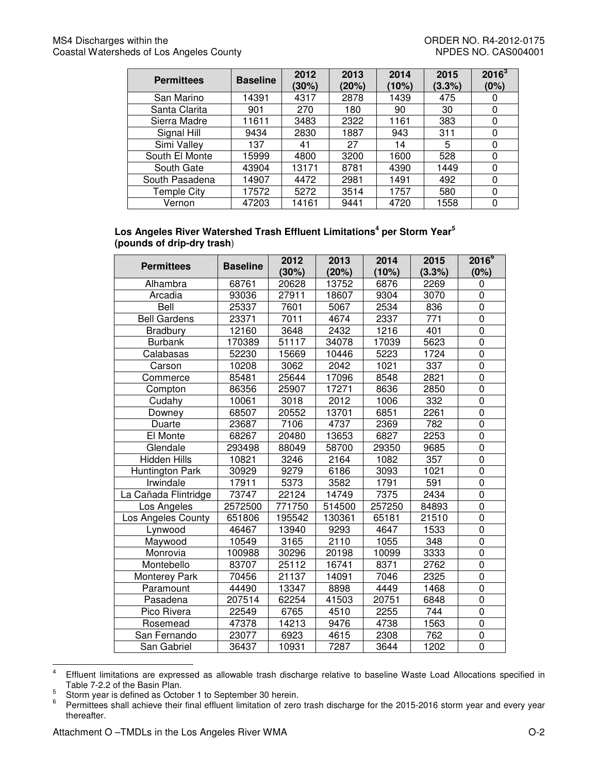#### MS4 Discharges within the **ORDER NO. R4-2012-0175** Coastal Watersheds of Los Angeles County Network Coastal Watersheds of Los Angeles County

| <b>Permittees</b> | <b>Baseline</b> | 2012<br>(30%) | 2013<br>(20%) | 2014<br>(10%) | 2015<br>(3.3%) | $2016^3$<br>(0%) |
|-------------------|-----------------|---------------|---------------|---------------|----------------|------------------|
| San Marino        | 14391           | 4317          | 2878          | 1439          | 475            | 0                |
| Santa Clarita     | 901             | 270           | 180           | 90            | 30             | 0                |
| Sierra Madre      | 11611           | 3483          | 2322          | 1161          | 383            | 0                |
| Signal Hill       | 9434            | 2830          | 1887          | 943           | 311            | 0                |
| Simi Valley       | 137             | 41            | 27            | 14            | 5              | 0                |
| South El Monte    | 15999           | 4800          | 3200          | 1600          | 528            | 0                |
| South Gate        | 43904           | 13171         | 8781          | 4390          | 1449           | 0                |
| South Pasadena    | 14907           | 4472          | 2981          | 1491          | 492            | 0                |
| Temple City       | 17572           | 5272          | 3514          | 1757          | 580            | 0                |
| Vernon            | 47203           | 14161         | 9441          | 4720          | 1558           | 0                |

#### **Los Angeles River Watershed Trash Effluent Limitations<sup>4</sup> per Storm Year<sup>5</sup> (pounds of drip-dry trash**)

| <b>Permittees</b>    | <b>Baseline</b> | 2012<br>(30%) | 2013<br>(20%) | 2014<br>(10%) | 2015<br>(3.3%) | $2016^{6}$<br>(0%) |
|----------------------|-----------------|---------------|---------------|---------------|----------------|--------------------|
| Alhambra             | 68761           | 20628         | 13752         | 6876          | 2269           | 0                  |
| Arcadia              | 93036           | 27911         | 18607         | 9304          | 3070           | 0                  |
| Bell                 | 25337           | 7601          | 5067          | 2534          | 836            | $\mathbf 0$        |
| <b>Bell Gardens</b>  | 23371           | 7011          | 4674          | 2337          | 771            | $\mathsf 0$        |
| <b>Bradbury</b>      | 12160           | 3648          | 2432          | 1216          | 401            | $\boldsymbol{0}$   |
| <b>Burbank</b>       | 170389          | 51117         | 34078         | 17039         | 5623           | 0                  |
| Calabasas            | 52230           | 15669         | 10446         | 5223          | 1724           | $\mathbf 0$        |
| Carson               | 10208           | 3062          | 2042          | 1021          | 337            | $\mathbf 0$        |
| Commerce             | 85481           | 25644         | 17096         | 8548          | 2821           | $\mathbf 0$        |
| Compton              | 86356           | 25907         | 17271         | 8636          | 2850           | $\boldsymbol{0}$   |
| Cudahy               | 10061           | 3018          | 2012          | 1006          | 332            | $\mathbf 0$        |
| Downey               | 68507           | 20552         | 13701         | 6851          | 2261           | $\mathbf 0$        |
| Duarte               | 23687           | 7106          | 4737          | 2369          | 782            | $\mathbf 0$        |
| El Monte             | 68267           | 20480         | 13653         | 6827          | 2253           | $\boldsymbol{0}$   |
| Glendale             | 293498          | 88049         | 58700         | 29350         | 9685           | $\overline{0}$     |
| Hidden Hills         | 10821           | 3246          | 2164          | 1082          | 357            | $\boldsymbol{0}$   |
| Huntington Park      | 30929           | 9279          | 6186          | 3093          | 1021           | $\mathbf 0$        |
| Irwindale            | 17911           | 5373          | 3582          | 1791          | 591            | $\mathbf 0$        |
| La Cañada Flintridge | 73747           | 22124         | 14749         | 7375          | 2434           | $\overline{0}$     |
| Los Angeles          | 2572500         | 771750        | 514500        | 257250        | 84893          | $\mathbf 0$        |
| Los Angeles County   | 651806          | 195542        | 130361        | 65181         | 21510          | $\mathbf 0$        |
| Lynwood              | 46467           | 13940         | 9293          | 4647          | 1533           | $\boldsymbol{0}$   |
| Maywood              | 10549           | 3165          | 2110          | 1055          | 348            | $\mathbf 0$        |
| Monrovia             | 100988          | 30296         | 20198         | 10099         | 3333           | $\mathbf 0$        |
| Montebello           | 83707           | 25112         | 16741         | 8371          | 2762           | $\pmb{0}$          |
| <b>Monterey Park</b> | 70456           | 21137         | 14091         | 7046          | 2325           | $\pmb{0}$          |
| Paramount            | 44490           | 13347         | 8898          | 4449          | 1468           | $\boldsymbol{0}$   |
| Pasadena             | 207514          | 62254         | 41503         | 20751         | 6848           | $\mathbf 0$        |
| Pico Rivera          | 22549           | 6765          | 4510          | 2255          | 744            | $\pmb{0}$          |
| Rosemead             | 47378           | 14213         | 9476          | 4738          | 1563           | $\boldsymbol{0}$   |
| San Fernando         | 23077           | 6923          | 4615          | 2308          | 762            | $\pmb{0}$          |
| San Gabriel          | 36437           | 10931         | 7287          | 3644          | 1202           | $\pmb{0}$          |

 $\frac{1}{4}$  Effluent limitations are expressed as allowable trash discharge relative to baseline Waste Load Allocations specified in Table 7-2.2 of the Basin Plan.

<sup>5</sup> Storm year is defined as October 1 to September 30 herein.

<sup>6</sup> Permittees shall achieve their final effluent limitation of zero trash discharge for the 2015-2016 storm year and every year thereafter.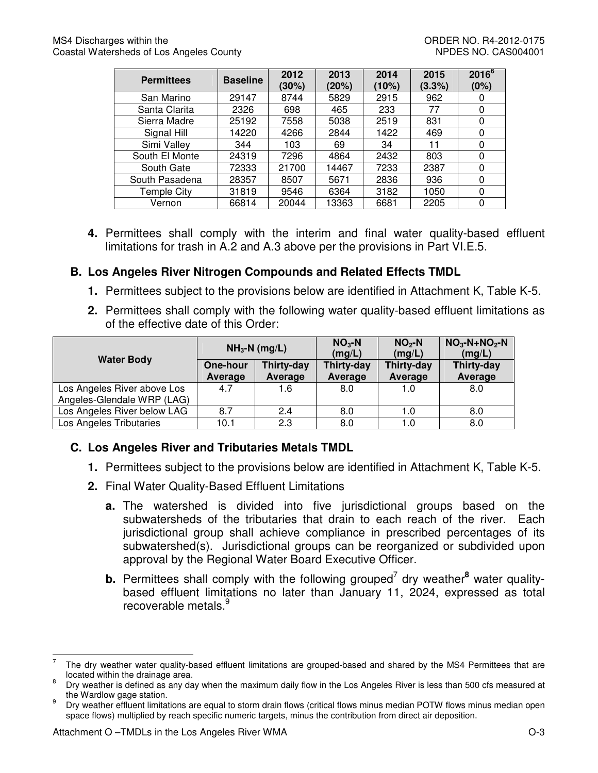| <b>Permittees</b> | <b>Baseline</b> | 2012<br>(30%) | 2013<br>(20%) | 2014<br>(10%) | 2015<br>(3.3%) | $2016^{6}$<br>(0%) |
|-------------------|-----------------|---------------|---------------|---------------|----------------|--------------------|
| San Marino        | 29147           | 8744          | 5829          | 2915          | 962            |                    |
| Santa Clarita     | 2326            | 698           | 465           | 233           | 77             |                    |
| Sierra Madre      | 25192           | 7558          | 5038          | 2519          | 831            | 0                  |
| Signal Hill       | 14220           | 4266          | 2844          | 1422          | 469            | 0                  |
| Simi Valley       | 344             | 103           | 69            | 34            | 11             | 0                  |
| South El Monte    | 24319           | 7296          | 4864          | 2432          | 803            | 0                  |
| South Gate        | 72333           | 21700         | 14467         | 7233          | 2387           |                    |
| South Pasadena    | 28357           | 8507          | 5671          | 2836          | 936            | 0                  |
| Temple City       | 31819           | 9546          | 6364          | 3182          | 1050           | $\Omega$           |
| Vernon            | 66814           | 20044         | 13363         | 6681          | 2205           | 0                  |

**4.** Permittees shall comply with the interim and final water quality-based effluent limitations for trash in A.2 and A.3 above per the provisions in Part VI.E.5.

# **B. Los Angeles River Nitrogen Compounds and Related Effects TMDL**

- **1.** Permittees subject to the provisions below are identified in Attachment K, Table K-5.
- **2.** Permittees shall comply with the following water quality-based effluent limitations as of the effective date of this Order:

|                                                           |                     | $NH3-N$ (mg/L)        | $NO3 - N$<br>(mg/L)   | $NO2$ -N<br>(mg/L)    | $NO3-N+NO2-N$<br>(mg/L) |
|-----------------------------------------------------------|---------------------|-----------------------|-----------------------|-----------------------|-------------------------|
| <b>Water Body</b>                                         | One-hour<br>Average | Thirty-day<br>Average | Thirty-day<br>Average | Thirty-day<br>Average | Thirty-day<br>Average   |
| Los Angeles River above Los<br>Angeles-Glendale WRP (LAG) | 4.7                 | 1.6                   | 8.0                   | 1.0                   | 8.0                     |
| Los Angeles River below LAG                               | 8.7                 | 2.4                   | 8.0                   | 1.0                   | 8.0                     |
| Los Angeles Tributaries                                   | 10.1                | 2.3                   | 8.0                   | 1.0                   | 8.0                     |

# **C. Los Angeles River and Tributaries Metals TMDL**

- **1.** Permittees subject to the provisions below are identified in Attachment K, Table K-5.
- **2.** Final Water Quality-Based Effluent Limitations
	- **a.** The watershed is divided into five jurisdictional groups based on the subwatersheds of the tributaries that drain to each reach of the river. Each jurisdictional group shall achieve compliance in prescribed percentages of its subwatershed(s). Jurisdictional groups can be reorganized or subdivided upon approval by the Regional Water Board Executive Officer.
	- **b.** Permittees shall comply with the following grouped<sup>7</sup> dry weather<sup>8</sup> water qualitybased effluent limitations no later than January 11, 2024, expressed as total recoverable metals.<sup>9</sup>

<sup>-&</sup>lt;br>7 The dry weather water quality-based effluent limitations are grouped-based and shared by the MS4 Permittees that are located within the drainage area.

<sup>8</sup> Dry weather is defined as any day when the maximum daily flow in the Los Angeles River is less than 500 cfs measured at the Wardlow gage station.

<sup>9</sup> Dry weather effluent limitations are equal to storm drain flows (critical flows minus median POTW flows minus median open space flows) multiplied by reach specific numeric targets, minus the contribution from direct air deposition.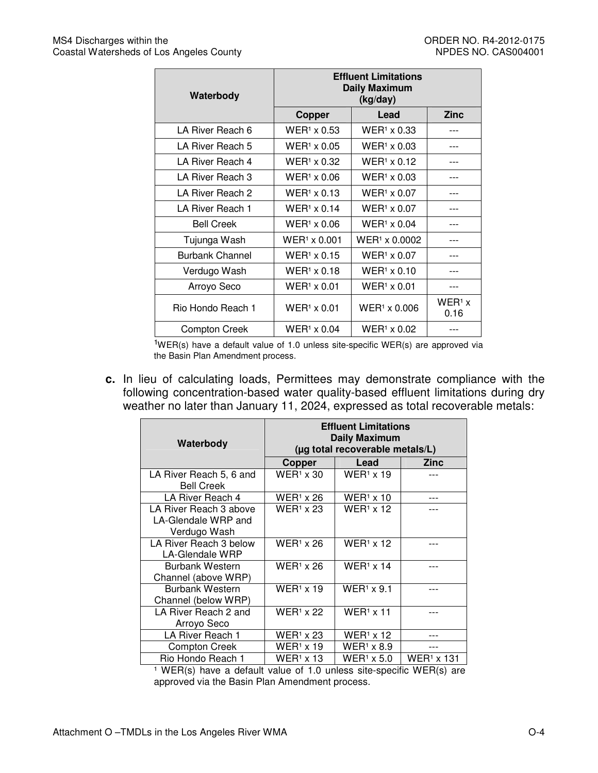| Waterbody              | <b>Effluent Limitations</b><br><b>Daily Maximum</b><br>(kg/day) |                      |                  |  |  |
|------------------------|-----------------------------------------------------------------|----------------------|------------------|--|--|
|                        | Copper                                                          | Lead                 | <b>Zinc</b>      |  |  |
| LA River Reach 6       | $WER1 \times 0.53$                                              | $WER1 \times 0.33$   |                  |  |  |
| LA River Reach 5       | $WER1 \times 0.05$                                              | $WER1 \times 0.03$   |                  |  |  |
| LA River Reach 4       | $WER1 \times 0.32$                                              | $WER1 \times 0.12$   |                  |  |  |
| LA River Reach 3       | $WER1 \times 0.06$                                              | $WER1 \times 0.03$   | ---              |  |  |
| LA River Reach 2       | $WER1 \times 0.13$                                              | $WER1 \times 0.07$   |                  |  |  |
| LA River Reach 1       | $WER1 \times 0.14$                                              | $WER1 \times 0.07$   |                  |  |  |
| <b>Bell Creek</b>      | $WER1 \times 0.06$                                              | $WER1 \times 0.04$   |                  |  |  |
| Tujunga Wash           | $WER1 \times 0.001$                                             | $WER1 \times 0.0002$ |                  |  |  |
| <b>Burbank Channel</b> | $WER1 \times 0.15$                                              | $WER1 \times 0.07$   | $---$            |  |  |
| Verdugo Wash           | $WER1 \times 0.18$                                              | $WER1 \times 0.10$   |                  |  |  |
| Arroyo Seco            | WER <sup>1</sup> × 0.01                                         | $WER1 \times 0.01$   |                  |  |  |
| Rio Hondo Reach 1      | $WER1 \times 0.01$                                              | $WER1 \times 0.006$  | $WER1$ x<br>0.16 |  |  |
| Compton Creek          | $WER1 \times 0.04$                                              | $WER1 \times 0.02$   |                  |  |  |

 $1$ WER(s) have a default value of 1.0 unless site-specific WER(s) are approved via the Basin Plan Amendment process.

**c.** In lieu of calculating loads, Permittees may demonstrate compliance with the following concentration-based water quality-based effluent limitations during dry weather no later than January 11, 2024, expressed as total recoverable metals:

| Waterbody                                                     | <b>Effluent Limitations</b><br><b>Daily Maximum</b><br>(µg total recoverable metals/L) |                   |                        |  |
|---------------------------------------------------------------|----------------------------------------------------------------------------------------|-------------------|------------------------|--|
|                                                               | Copper                                                                                 | Lead              | Zinc                   |  |
| LA River Reach 5, 6 and<br><b>Bell Creek</b>                  | $WER1 \times 30$                                                                       | $WER1 \times 19$  |                        |  |
| LA River Reach 4                                              | $WER1$ x 26                                                                            | $WER1$ x 10       |                        |  |
| LA River Reach 3 above<br>LA-Glendale WRP and<br>Verdugo Wash | $WER1 \times 23$                                                                       | $WER1$ x 12       |                        |  |
| LA River Reach 3 below<br>LA-Glendale WRP                     | $WER1$ x 26                                                                            | $WER1$ x 12       |                        |  |
| <b>Burbank Western</b><br>Channel (above WRP)                 | $WER1 \times 26$                                                                       | $WER1$ x 14       |                        |  |
| <b>Burbank Western</b><br>Channel (below WRP)                 | $WER1 \times 19$                                                                       | $WER1 \times 9.1$ |                        |  |
| LA River Reach 2 and<br>Arroyo Seco                           | $WER1 \times 22$                                                                       | $WER1 \times 11$  |                        |  |
| LA River Reach 1                                              | $WER1 \times 23$                                                                       | $WER1 \times 12$  |                        |  |
| <b>Compton Creek</b>                                          | $WER1 \times 19$                                                                       | $WER1 \times 8.9$ |                        |  |
| Rio Hondo Reach 1                                             | $WER1 \times 13$                                                                       | $WER1$ x 5.0      | WER <sup>1</sup> x 131 |  |

 $1$  WER(s) have a default value of 1.0 unless site-specific WER(s) are approved via the Basin Plan Amendment process.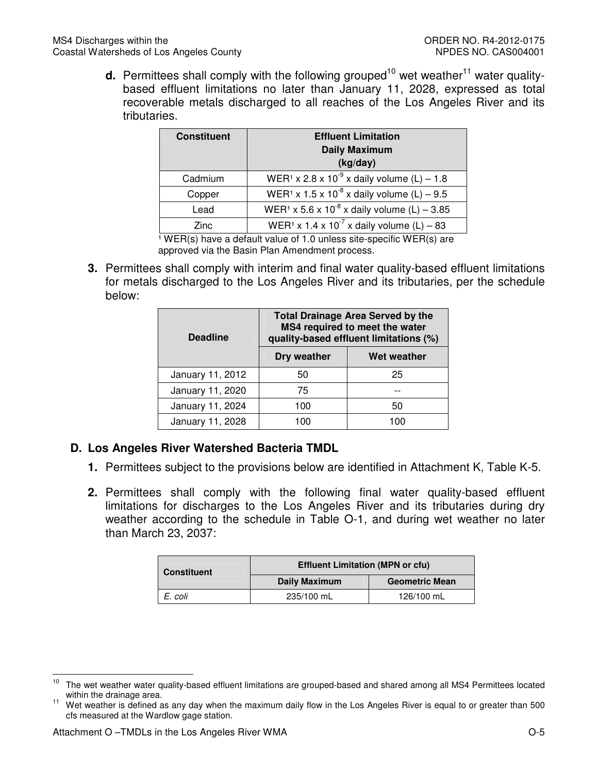**d.** Permittees shall comply with the following grouped<sup>10</sup> wet weather<sup>11</sup> water qualitybased effluent limitations no later than January 11, 2028, expressed as total recoverable metals discharged to all reaches of the Los Angeles River and its tributaries.

| <b>Constituent</b> | <b>Effluent Limitation</b><br><b>Daily Maximum</b><br>(kg/day)      |  |
|--------------------|---------------------------------------------------------------------|--|
| Cadmium            | WER <sup>1</sup> x 2.8 x 10 <sup>-9</sup> x daily volume (L) – 1.8  |  |
| Copper             | WER <sup>1</sup> x 1.5 x 10 <sup>-8</sup> x daily volume (L) – 9.5  |  |
| Lead               | WER <sup>1</sup> x 5.6 x 10 <sup>-8</sup> x daily volume (L) - 3.85 |  |
| Zinc               | WER <sup>1</sup> x 1.4 x 10 <sup>-7</sup> x daily volume (L) – 83   |  |

 $\frac{1}{1}$  WER(s) have a default value of 1.0 unless site-specific WER(s) are approved via the Basin Plan Amendment process.

**3.** Permittees shall comply with interim and final water quality-based effluent limitations for metals discharged to the Los Angeles River and its tributaries, per the schedule below:

| <b>Deadline</b>  | <b>Total Drainage Area Served by the</b><br>MS4 required to meet the water<br>quality-based effluent limitations (%) |             |  |  |
|------------------|----------------------------------------------------------------------------------------------------------------------|-------------|--|--|
|                  | Dry weather                                                                                                          | Wet weather |  |  |
| January 11, 2012 | 50                                                                                                                   | 25          |  |  |
| January 11, 2020 | 75                                                                                                                   |             |  |  |
| January 11, 2024 | 100                                                                                                                  | 50          |  |  |
| January 11, 2028 | 100                                                                                                                  | 100         |  |  |

# **D. Los Angeles River Watershed Bacteria TMDL**

- **1.** Permittees subject to the provisions below are identified in Attachment K, Table K-5.
- **2.** Permittees shall comply with the following final water quality-based effluent limitations for discharges to the Los Angeles River and its tributaries during dry weather according to the schedule in Table O-1, and during wet weather no later than March 23, 2037:

| <b>Constituent</b> | <b>Effluent Limitation (MPN or cfu)</b> |                       |  |  |
|--------------------|-----------------------------------------|-----------------------|--|--|
|                    | <b>Daily Maximum</b>                    | <b>Geometric Mean</b> |  |  |
| E. coli            | 235/100 mL                              | 126/100 mL            |  |  |

 $10$ <sup>10</sup> The wet weather water quality-based effluent limitations are grouped-based and shared among all MS4 Permittees located within the drainage area.

<sup>&</sup>lt;sup>11</sup> Wet weather is defined as any day when the maximum daily flow in the Los Angeles River is equal to or greater than 500 cfs measured at the Wardlow gage station.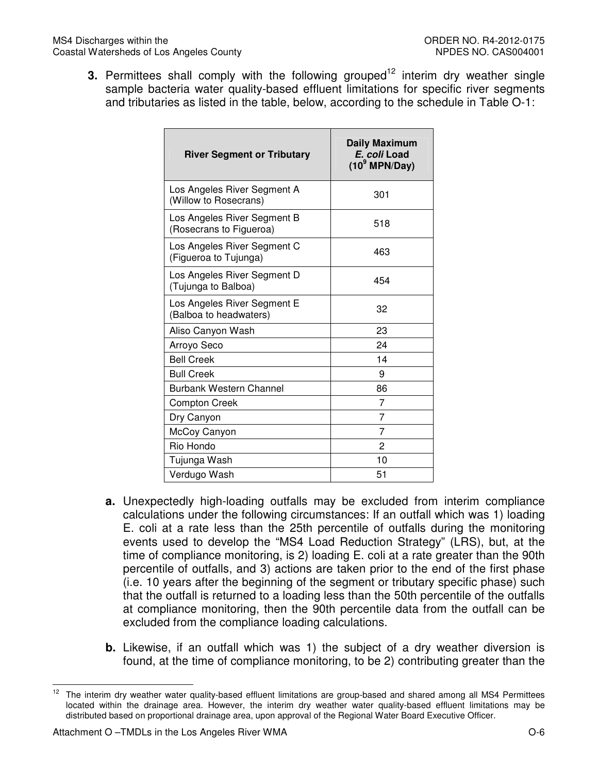**3.** Permittees shall comply with the following grouped<sup>12</sup> interim dry weather single sample bacteria water quality-based effluent limitations for specific river segments and tributaries as listed in the table, below, according to the schedule in Table O-1:

| <b>River Segment or Tributary</b>                      | <b>Daily Maximum</b><br>E. coli Load<br>$(10^9 \text{ MPN/Day})$ |
|--------------------------------------------------------|------------------------------------------------------------------|
| Los Angeles River Segment A<br>(Willow to Rosecrans)   | 301                                                              |
| Los Angeles River Segment B<br>(Rosecrans to Figueroa) | 518                                                              |
| Los Angeles River Segment C<br>(Figueroa to Tujunga)   | 463                                                              |
| Los Angeles River Segment D<br>(Tujunga to Balboa)     | 454                                                              |
| Los Angeles River Segment E<br>(Balboa to headwaters)  | 32                                                               |
| Aliso Canyon Wash                                      | 23                                                               |
| Arroyo Seco                                            | 24                                                               |
| <b>Bell Creek</b>                                      | 14                                                               |
| <b>Bull Creek</b>                                      | 9                                                                |
| <b>Burbank Western Channel</b>                         | 86                                                               |
| <b>Compton Creek</b>                                   | 7                                                                |
| Dry Canyon                                             | 7                                                                |
| McCoy Canyon                                           | 7                                                                |
| Rio Hondo                                              | 2                                                                |
| Tujunga Wash                                           | 10                                                               |
| Verdugo Wash                                           | 51                                                               |

- **a.** Unexpectedly high-loading outfalls may be excluded from interim compliance calculations under the following circumstances: If an outfall which was 1) loading E. coli at a rate less than the 25th percentile of outfalls during the monitoring events used to develop the "MS4 Load Reduction Strategy" (LRS), but, at the time of compliance monitoring, is 2) loading E. coli at a rate greater than the 90th percentile of outfalls, and 3) actions are taken prior to the end of the first phase (i.e. 10 years after the beginning of the segment or tributary specific phase) such that the outfall is returned to a loading less than the 50th percentile of the outfalls at compliance monitoring, then the 90th percentile data from the outfall can be excluded from the compliance loading calculations.
- **b.** Likewise, if an outfall which was 1) the subject of a dry weather diversion is found, at the time of compliance monitoring, to be 2) contributing greater than the

 $12$ The interim dry weather water quality-based effluent limitations are group-based and shared among all MS4 Permittees located within the drainage area. However, the interim dry weather water quality-based effluent limitations may be distributed based on proportional drainage area, upon approval of the Regional Water Board Executive Officer.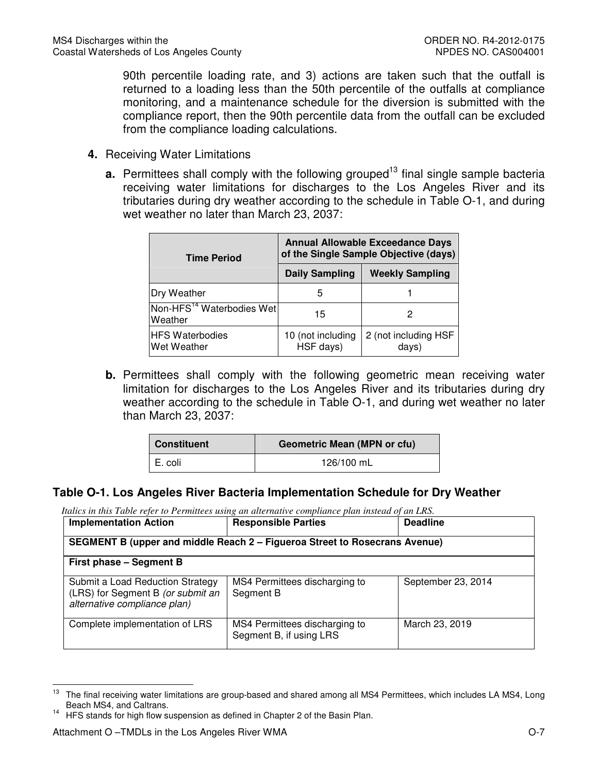90th percentile loading rate, and 3) actions are taken such that the outfall is returned to a loading less than the 50th percentile of the outfalls at compliance monitoring, and a maintenance schedule for the diversion is submitted with the compliance report, then the 90th percentile data from the outfall can be excluded from the compliance loading calculations.

- **4.** Receiving Water Limitations
	- **a.** Permittees shall comply with the following grouped<sup>13</sup> final single sample bacteria receiving water limitations for discharges to the Los Angeles River and its tributaries during dry weather according to the schedule in Table O-1, and during wet weather no later than March 23, 2037:

| <b>Time Period</b>                               | <b>Annual Allowable Exceedance Days</b><br>of the Single Sample Objective (days) |                               |  |  |
|--------------------------------------------------|----------------------------------------------------------------------------------|-------------------------------|--|--|
|                                                  | <b>Daily Sampling</b>                                                            | <b>Weekly Sampling</b>        |  |  |
| Dry Weather                                      | 5                                                                                |                               |  |  |
| Non-HFS <sup>14</sup> Waterbodies Wet<br>Weather | 15                                                                               |                               |  |  |
| <b>HFS Waterbodies</b><br><b>Wet Weather</b>     | 10 (not including<br>HSF days)                                                   | 2 (not including HSF<br>days) |  |  |

**b.** Permittees shall comply with the following geometric mean receiving water limitation for discharges to the Los Angeles River and its tributaries during dry weather according to the schedule in Table O-1, and during wet weather no later than March 23, 2037:

| <b>Constituent</b> | <b>Geometric Mean (MPN or cfu)</b> |  |
|--------------------|------------------------------------|--|
| E. coli            | 126/100 mL                         |  |

## **Table O-1. Los Angeles River Bacteria Implementation Schedule for Dry Weather**

| <b>Implementation Action</b>                                                                          | <b>Responsible Parties</b>                               | <b>Deadline</b>    |  |
|-------------------------------------------------------------------------------------------------------|----------------------------------------------------------|--------------------|--|
| SEGMENT B (upper and middle Reach 2 - Figueroa Street to Rosecrans Avenue)                            |                                                          |                    |  |
| First phase - Segment B                                                                               |                                                          |                    |  |
| Submit a Load Reduction Strategy<br>(LRS) for Segment B (or submit an<br>alternative compliance plan) | MS4 Permittees discharging to<br>Segment B               | September 23, 2014 |  |
| Complete implementation of LRS                                                                        | MS4 Permittees discharging to<br>Segment B, if using LRS | March 23, 2019     |  |

<sup>13</sup> <sup>13</sup> The final receiving water limitations are group-based and shared among all MS4 Permittees, which includes LA MS4, Long Beach MS4, and Caltrans.

<sup>14</sup> HFS stands for high flow suspension as defined in Chapter 2 of the Basin Plan.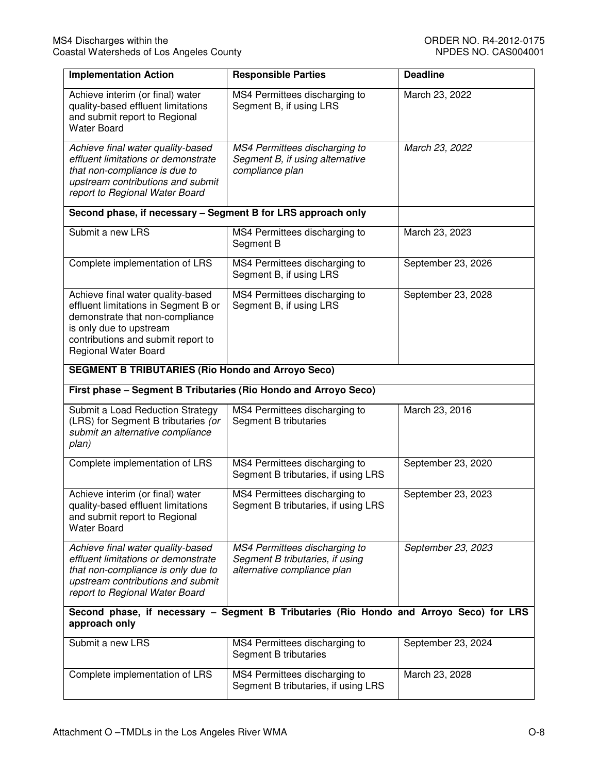| <b>Implementation Action</b>                                                                                                                                                                                 | <b>Responsible Parties</b>                                                                      | <b>Deadline</b>    |  |
|--------------------------------------------------------------------------------------------------------------------------------------------------------------------------------------------------------------|-------------------------------------------------------------------------------------------------|--------------------|--|
| Achieve interim (or final) water<br>quality-based effluent limitations<br>and submit report to Regional<br><b>Water Board</b>                                                                                | MS4 Permittees discharging to<br>Segment B, if using LRS                                        | March 23, 2022     |  |
| Achieve final water quality-based<br>effluent limitations or demonstrate<br>that non-compliance is due to<br>upstream contributions and submit<br>report to Regional Water Board                             | MS4 Permittees discharging to<br>Segment B, if using alternative<br>compliance plan             | March 23, 2022     |  |
| Second phase, if necessary - Segment B for LRS approach only                                                                                                                                                 |                                                                                                 |                    |  |
| Submit a new LRS                                                                                                                                                                                             | MS4 Permittees discharging to<br>Segment B                                                      | March 23, 2023     |  |
| Complete implementation of LRS                                                                                                                                                                               | MS4 Permittees discharging to<br>Segment B, if using LRS                                        | September 23, 2026 |  |
| Achieve final water quality-based<br>effluent limitations in Segment B or<br>demonstrate that non-compliance<br>is only due to upstream<br>contributions and submit report to<br><b>Regional Water Board</b> | MS4 Permittees discharging to<br>Segment B, if using LRS                                        | September 23, 2028 |  |
| <b>SEGMENT B TRIBUTARIES (Rio Hondo and Arroyo Seco)</b>                                                                                                                                                     |                                                                                                 |                    |  |
| First phase - Segment B Tributaries (Rio Hondo and Arroyo Seco)                                                                                                                                              |                                                                                                 |                    |  |
| Submit a Load Reduction Strategy<br>(LRS) for Segment B tributaries (or<br>submit an alternative compliance<br>plan)                                                                                         | MS4 Permittees discharging to<br>Segment B tributaries                                          | March 23, 2016     |  |
| Complete implementation of LRS                                                                                                                                                                               | MS4 Permittees discharging to<br>Segment B tributaries, if using LRS                            | September 23, 2020 |  |
| Achieve interim (or final) water<br>quality-based effluent limitations<br>and submit report to Regional<br><b>Water Board</b>                                                                                | MS4 Permittees discharging to<br>Segment B tributaries, if using LRS                            | September 23, 2023 |  |
| Achieve final water quality-based<br>effluent limitations or demonstrate<br>that non-compliance is only due to<br>upstream contributions and submit<br>report to Regional Water Board                        | MS4 Permittees discharging to<br>Segment B tributaries, if using<br>alternative compliance plan | September 23, 2023 |  |
| Second phase, if necessary - Segment B Tributaries (Rio Hondo and Arroyo Seco) for LRS<br>approach only                                                                                                      |                                                                                                 |                    |  |
| Submit a new LRS                                                                                                                                                                                             | MS4 Permittees discharging to<br>Segment B tributaries                                          | September 23, 2024 |  |
| Complete implementation of LRS                                                                                                                                                                               | MS4 Permittees discharging to<br>Segment B tributaries, if using LRS                            | March 23, 2028     |  |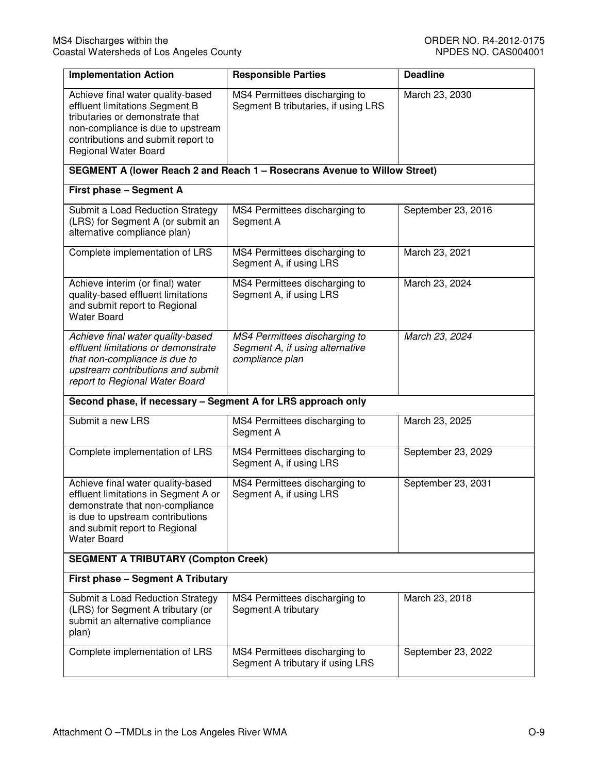| <b>Implementation Action</b>                                                                                                                                                                                     | <b>Responsible Parties</b>                                                          | <b>Deadline</b>    |  |  |
|------------------------------------------------------------------------------------------------------------------------------------------------------------------------------------------------------------------|-------------------------------------------------------------------------------------|--------------------|--|--|
| Achieve final water quality-based<br>effluent limitations Segment B<br>tributaries or demonstrate that<br>non-compliance is due to upstream<br>contributions and submit report to<br><b>Regional Water Board</b> | MS4 Permittees discharging to<br>Segment B tributaries, if using LRS                | March 23, 2030     |  |  |
|                                                                                                                                                                                                                  | SEGMENT A (lower Reach 2 and Reach 1 - Rosecrans Avenue to Willow Street)           |                    |  |  |
| First phase - Segment A                                                                                                                                                                                          |                                                                                     |                    |  |  |
| Submit a Load Reduction Strategy<br>(LRS) for Segment A (or submit an<br>alternative compliance plan)                                                                                                            | MS4 Permittees discharging to<br>Segment A                                          | September 23, 2016 |  |  |
| Complete implementation of LRS                                                                                                                                                                                   | MS4 Permittees discharging to<br>Segment A, if using LRS                            | March 23, 2021     |  |  |
| Achieve interim (or final) water<br>quality-based effluent limitations<br>and submit report to Regional<br><b>Water Board</b>                                                                                    | MS4 Permittees discharging to<br>Segment A, if using LRS                            | March 23, 2024     |  |  |
| Achieve final water quality-based<br>effluent limitations or demonstrate<br>that non-compliance is due to<br>upstream contributions and submit<br>report to Regional Water Board                                 | MS4 Permittees discharging to<br>Segment A, if using alternative<br>compliance plan | March 23, 2024     |  |  |
| Second phase, if necessary - Segment A for LRS approach only                                                                                                                                                     |                                                                                     |                    |  |  |
| Submit a new LRS                                                                                                                                                                                                 | MS4 Permittees discharging to<br>Segment A                                          | March 23, 2025     |  |  |
| Complete implementation of LRS                                                                                                                                                                                   | MS4 Permittees discharging to<br>Segment A, if using LRS                            | September 23, 2029 |  |  |
| Achieve final water quality-based<br>effluent limitations in Segment A or<br>demonstrate that non-compliance<br>is due to upstream contributions<br>and submit report to Regional<br><b>Water Board</b>          | MS4 Permittees discharging to<br>Segment A, if using LRS                            | September 23, 2031 |  |  |
| <b>SEGMENT A TRIBUTARY (Compton Creek)</b>                                                                                                                                                                       |                                                                                     |                    |  |  |
| First phase - Segment A Tributary                                                                                                                                                                                |                                                                                     |                    |  |  |
| Submit a Load Reduction Strategy<br>(LRS) for Segment A tributary (or<br>submit an alternative compliance<br>plan)                                                                                               | MS4 Permittees discharging to<br>Segment A tributary                                | March 23, 2018     |  |  |
| Complete implementation of LRS                                                                                                                                                                                   | MS4 Permittees discharging to<br>Segment A tributary if using LRS                   | September 23, 2022 |  |  |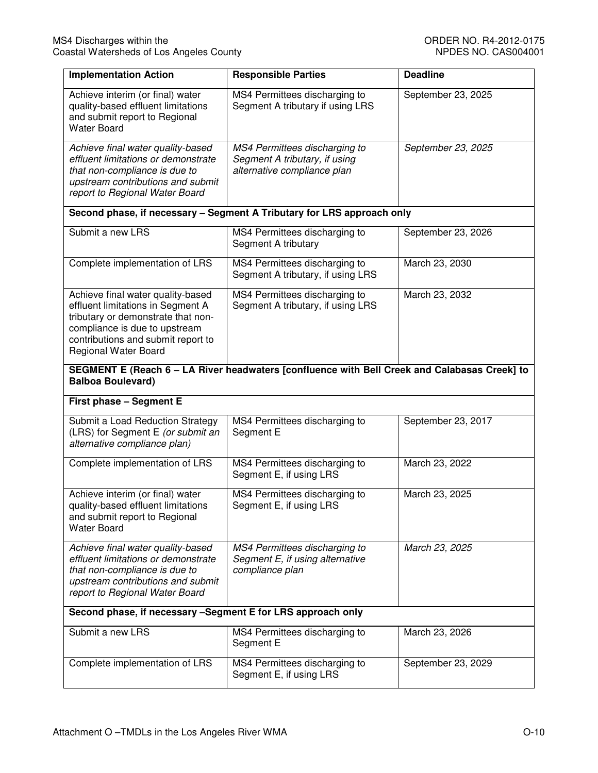| <b>Implementation Action</b>                                                                                                                                                                                       | <b>Responsible Parties</b>                                                                    | <b>Deadline</b>    |
|--------------------------------------------------------------------------------------------------------------------------------------------------------------------------------------------------------------------|-----------------------------------------------------------------------------------------------|--------------------|
| Achieve interim (or final) water<br>quality-based effluent limitations<br>and submit report to Regional<br><b>Water Board</b>                                                                                      | MS4 Permittees discharging to<br>Segment A tributary if using LRS                             | September 23, 2025 |
| Achieve final water quality-based<br>effluent limitations or demonstrate<br>that non-compliance is due to<br>upstream contributions and submit<br>report to Regional Water Board                                   | MS4 Permittees discharging to<br>Segment A tributary, if using<br>alternative compliance plan | September 23, 2025 |
|                                                                                                                                                                                                                    | Second phase, if necessary - Segment A Tributary for LRS approach only                        |                    |
| Submit a new LRS                                                                                                                                                                                                   | MS4 Permittees discharging to<br>Segment A tributary                                          | September 23, 2026 |
| Complete implementation of LRS                                                                                                                                                                                     | MS4 Permittees discharging to<br>Segment A tributary, if using LRS                            | March 23, 2030     |
| Achieve final water quality-based<br>effluent limitations in Segment A<br>tributary or demonstrate that non-<br>compliance is due to upstream<br>contributions and submit report to<br><b>Regional Water Board</b> | MS4 Permittees discharging to<br>Segment A tributary, if using LRS                            | March 23, 2032     |
| <b>Balboa Boulevard)</b>                                                                                                                                                                                           | SEGMENT E (Reach 6 - LA River headwaters [confluence with Bell Creek and Calabasas Creek] to  |                    |
| First phase - Segment E                                                                                                                                                                                            |                                                                                               |                    |
| Submit a Load Reduction Strategy<br>(LRS) for Segment E (or submit an<br>alternative compliance plan)                                                                                                              | MS4 Permittees discharging to<br>Segment E                                                    | September 23, 2017 |
| Complete implementation of LRS                                                                                                                                                                                     | MS4 Permittees discharging to<br>Segment E, if using LRS                                      | March 23, 2022     |
| Achieve interim (or final) water<br>quality-based effluent limitations<br>and submit report to Regional<br><b>Water Board</b>                                                                                      | MS4 Permittees discharging to<br>Segment E, if using LRS                                      | March 23, 2025     |
| Achieve final water quality-based<br>effluent limitations or demonstrate<br>that non-compliance is due to<br>upstream contributions and submit<br>report to Regional Water Board                                   | MS4 Permittees discharging to<br>Segment E, if using alternative<br>compliance plan           | March 23, 2025     |
| Second phase, if necessary -Segment E for LRS approach only                                                                                                                                                        |                                                                                               |                    |
| Submit a new LRS                                                                                                                                                                                                   | MS4 Permittees discharging to<br>Segment E                                                    | March 23, 2026     |
| Complete implementation of LRS                                                                                                                                                                                     | MS4 Permittees discharging to<br>Segment E, if using LRS                                      | September 23, 2029 |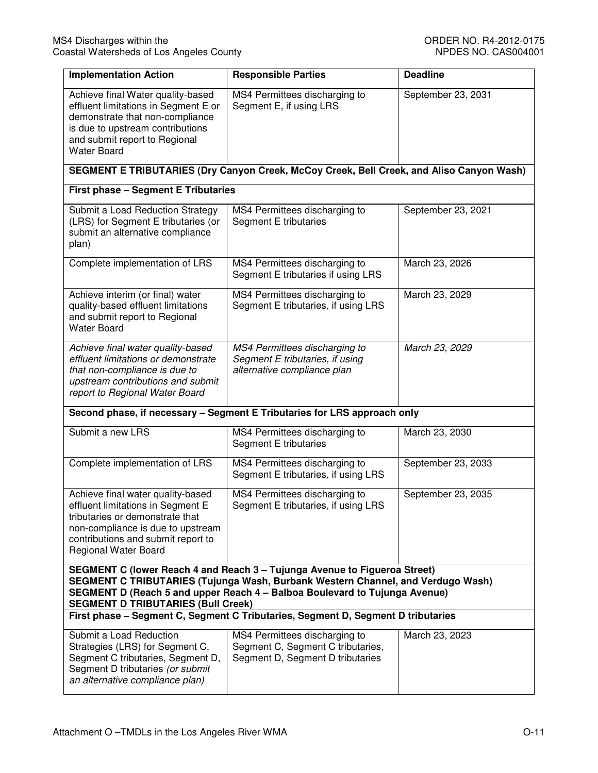| <b>Implementation Action</b>                                                                                                                                                                                                                                                            | <b>Responsible Parties</b>                                                                             | <b>Deadline</b>    |  |
|-----------------------------------------------------------------------------------------------------------------------------------------------------------------------------------------------------------------------------------------------------------------------------------------|--------------------------------------------------------------------------------------------------------|--------------------|--|
| Achieve final Water quality-based<br>effluent limitations in Segment E or<br>demonstrate that non-compliance<br>is due to upstream contributions<br>and submit report to Regional<br><b>Water Board</b>                                                                                 | MS4 Permittees discharging to<br>Segment E, if using LRS                                               | September 23, 2031 |  |
|                                                                                                                                                                                                                                                                                         | SEGMENT E TRIBUTARIES (Dry Canyon Creek, McCoy Creek, Bell Creek, and Aliso Canyon Wash)               |                    |  |
| <b>First phase - Segment E Tributaries</b>                                                                                                                                                                                                                                              |                                                                                                        |                    |  |
| Submit a Load Reduction Strategy<br>(LRS) for Segment E tributaries (or<br>submit an alternative compliance<br>plan)                                                                                                                                                                    | MS4 Permittees discharging to<br>Segment E tributaries                                                 | September 23, 2021 |  |
| Complete implementation of LRS                                                                                                                                                                                                                                                          | MS4 Permittees discharging to<br>Segment E tributaries if using LRS                                    | March 23, 2026     |  |
| Achieve interim (or final) water<br>quality-based effluent limitations<br>and submit report to Regional<br><b>Water Board</b>                                                                                                                                                           | MS4 Permittees discharging to<br>Segment E tributaries, if using LRS                                   | March 23, 2029     |  |
| Achieve final water quality-based<br>effluent limitations or demonstrate<br>that non-compliance is due to<br>upstream contributions and submit<br>report to Regional Water Board                                                                                                        | MS4 Permittees discharging to<br>Segment E tributaries, if using<br>alternative compliance plan        | March 23, 2029     |  |
|                                                                                                                                                                                                                                                                                         | Second phase, if necessary - Segment E Tributaries for LRS approach only                               |                    |  |
| Submit a new LRS                                                                                                                                                                                                                                                                        | MS4 Permittees discharging to<br>Segment E tributaries                                                 | March 23, 2030     |  |
| Complete implementation of LRS                                                                                                                                                                                                                                                          | MS4 Permittees discharging to<br>Segment E tributaries, if using LRS                                   | September 23, 2033 |  |
| Achieve final water quality-based<br>effluent limitations in Segment E<br>tributaries or demonstrate that<br>non-compliance is due to upstream<br>contributions and submit report to<br>Regional Water Board                                                                            | MS4 Permittees discharging to<br>Segment E tributaries, if using LRS                                   | September 23, 2035 |  |
| SEGMENT C (lower Reach 4 and Reach 3 - Tujunga Avenue to Figueroa Street)<br>SEGMENT C TRIBUTARIES (Tujunga Wash, Burbank Western Channel, and Verdugo Wash)<br>SEGMENT D (Reach 5 and upper Reach 4 - Balboa Boulevard to Tujunga Avenue)<br><b>SEGMENT D TRIBUTARIES (Bull Creek)</b> |                                                                                                        |                    |  |
| First phase - Segment C, Segment C Tributaries, Segment D, Segment D tributaries                                                                                                                                                                                                        |                                                                                                        |                    |  |
| Submit a Load Reduction<br>Strategies (LRS) for Segment C,<br>Segment C tributaries, Segment D,<br>Segment D tributaries (or submit<br>an alternative compliance plan)                                                                                                                  | MS4 Permittees discharging to<br>Segment C, Segment C tributaries,<br>Segment D, Segment D tributaries | March 23, 2023     |  |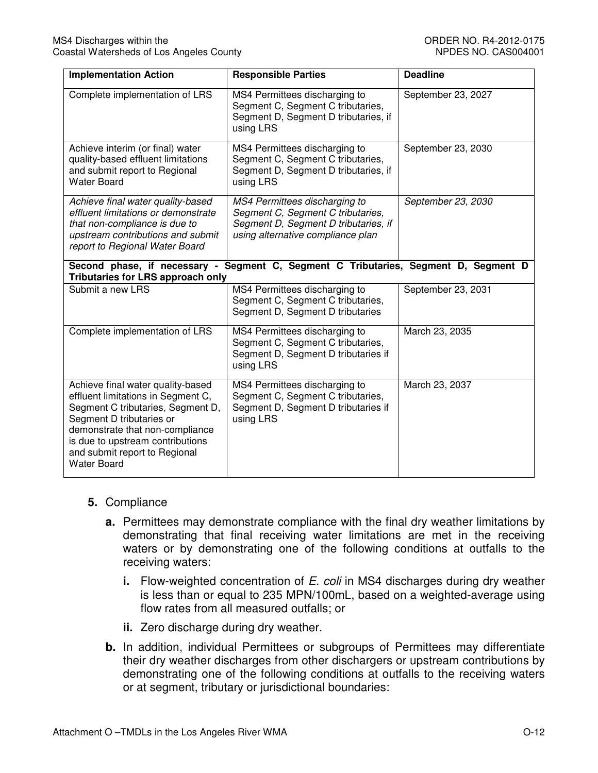| <b>Implementation Action</b>                                                                                                                                                                                                                                           | <b>Responsible Parties</b>                                                                                                                      | <b>Deadline</b>    |
|------------------------------------------------------------------------------------------------------------------------------------------------------------------------------------------------------------------------------------------------------------------------|-------------------------------------------------------------------------------------------------------------------------------------------------|--------------------|
| Complete implementation of LRS                                                                                                                                                                                                                                         | MS4 Permittees discharging to<br>Segment C, Segment C tributaries,<br>Segment D, Segment D tributaries, if<br>using LRS                         | September 23, 2027 |
| Achieve interim (or final) water<br>quality-based effluent limitations<br>and submit report to Regional<br><b>Water Board</b>                                                                                                                                          | MS4 Permittees discharging to<br>Segment C, Segment C tributaries,<br>Segment D, Segment D tributaries, if<br>using LRS                         | September 23, 2030 |
| Achieve final water quality-based<br>effluent limitations or demonstrate<br>that non-compliance is due to<br>upstream contributions and submit<br>report to Regional Water Board                                                                                       | MS4 Permittees discharging to<br>Segment C, Segment C tributaries,<br>Segment D, Segment D tributaries, if<br>using alternative compliance plan | September 23, 2030 |
| Second phase, if necessary -<br><b>Tributaries for LRS approach only</b>                                                                                                                                                                                               | Segment C, Segment C Tributaries, Segment D, Segment D                                                                                          |                    |
| Submit a new LRS                                                                                                                                                                                                                                                       | MS4 Permittees discharging to<br>Segment C, Segment C tributaries,<br>Segment D, Segment D tributaries                                          | September 23, 2031 |
| Complete implementation of LRS                                                                                                                                                                                                                                         | MS4 Permittees discharging to<br>Segment C, Segment C tributaries,<br>Segment D, Segment D tributaries if<br>using LRS                          | March 23, 2035     |
| Achieve final water quality-based<br>effluent limitations in Segment C,<br>Segment C tributaries, Segment D,<br>Segment D tributaries or<br>demonstrate that non-compliance<br>is due to upstream contributions<br>and submit report to Regional<br><b>Water Board</b> | MS4 Permittees discharging to<br>Segment C, Segment C tributaries,<br>Segment D, Segment D tributaries if<br>using LRS                          | March 23, 2037     |

## **5.** Compliance

- **a.** Permittees may demonstrate compliance with the final dry weather limitations by demonstrating that final receiving water limitations are met in the receiving waters or by demonstrating one of the following conditions at outfalls to the receiving waters:
	- **i.** Flow-weighted concentration of E. coli in MS4 discharges during dry weather is less than or equal to 235 MPN/100mL, based on a weighted-average using flow rates from all measured outfalls; or
	- **ii.** Zero discharge during dry weather.
- **b.** In addition, individual Permittees or subgroups of Permittees may differentiate their dry weather discharges from other dischargers or upstream contributions by demonstrating one of the following conditions at outfalls to the receiving waters or at segment, tributary or jurisdictional boundaries: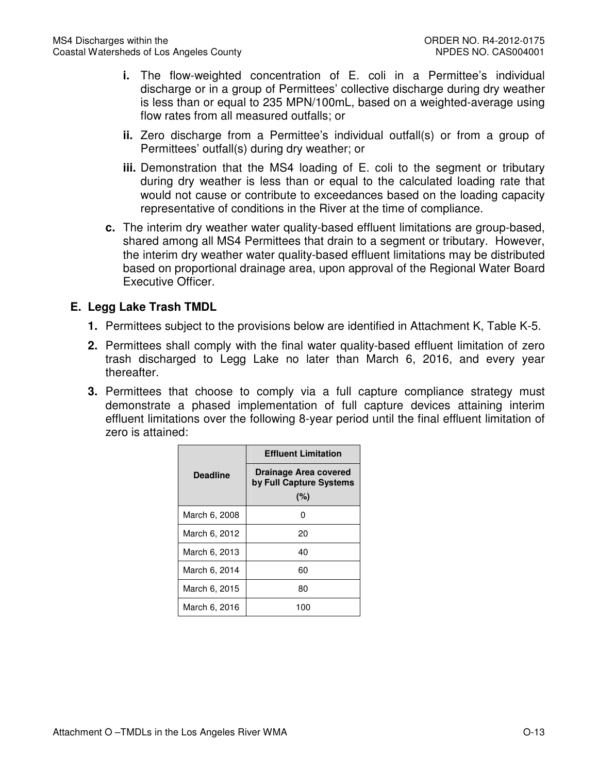- **i.** The flow-weighted concentration of E. coli in a Permittee's individual discharge or in a group of Permittees' collective discharge during dry weather is less than or equal to 235 MPN/100mL, based on a weighted-average using flow rates from all measured outfalls; or
- **ii.** Zero discharge from a Permittee's individual outfall(s) or from a group of Permittees' outfall(s) during dry weather; or
- **iii.** Demonstration that the MS4 loading of E. coli to the segment or tributary during dry weather is less than or equal to the calculated loading rate that would not cause or contribute to exceedances based on the loading capacity representative of conditions in the River at the time of compliance.
- **c.** The interim dry weather water quality-based effluent limitations are group-based, shared among all MS4 Permittees that drain to a segment or tributary. However, the interim dry weather water quality-based effluent limitations may be distributed based on proportional drainage area, upon approval of the Regional Water Board Executive Officer.

## **E. Legg Lake Trash TMDL**

- **1.** Permittees subject to the provisions below are identified in Attachment K, Table K-5.
- **2.** Permittees shall comply with the final water quality-based effluent limitation of zero trash discharged to Legg Lake no later than March 6, 2016, and every year thereafter.
- **3.** Permittees that choose to comply via a full capture compliance strategy must demonstrate a phased implementation of full capture devices attaining interim effluent limitations over the following 8-year period until the final effluent limitation of zero is attained:

|                 | <b>Effluent Limitation</b>                       |  |
|-----------------|--------------------------------------------------|--|
| <b>Deadline</b> | Drainage Area covered<br>by Full Capture Systems |  |
|                 | (%)                                              |  |
| March 6, 2008   | n                                                |  |
| March 6, 2012   | 20                                               |  |
| March 6, 2013   | 40                                               |  |
| March 6, 2014   | 60                                               |  |
| March 6, 2015   | 80                                               |  |
| March 6, 2016   | 100                                              |  |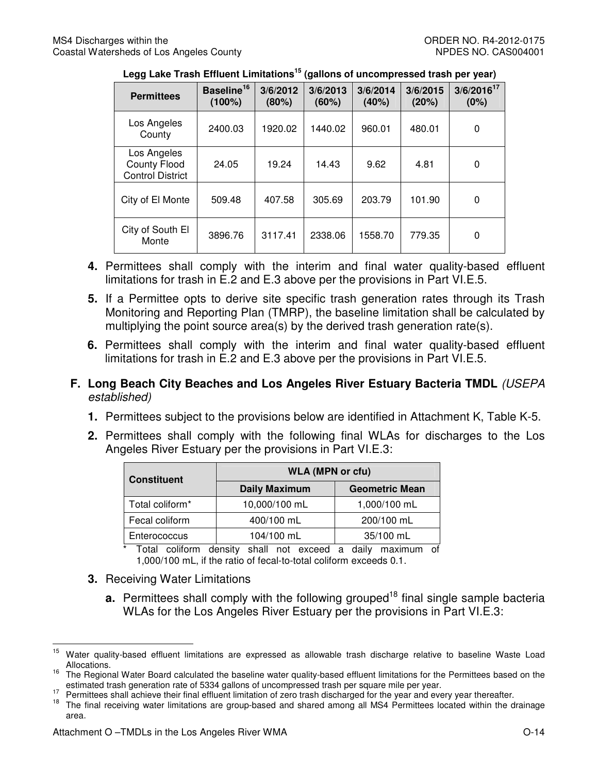| ັ                                                             |                                     |                   | $\tilde{ }$       |                   |                   |                         |
|---------------------------------------------------------------|-------------------------------------|-------------------|-------------------|-------------------|-------------------|-------------------------|
| <b>Permittees</b>                                             | Baseline <sup>16</sup><br>$(100\%)$ | 3/6/2012<br>(80%) | 3/6/2013<br>(60%) | 3/6/2014<br>(40%) | 3/6/2015<br>(20%) | $3/6/2016^{17}$<br>(0%) |
| Los Angeles<br>County                                         | 2400.03                             | 1920.02           | 1440.02           | 960.01            | 480.01            | 0                       |
| Los Angeles<br><b>County Flood</b><br><b>Control District</b> | 24.05                               | 19.24             | 14.43             | 9.62              | 4.81              | 0                       |
| City of El Monte                                              | 509.48                              | 407.58            | 305.69            | 203.79            | 101.90            | 0                       |
| City of South El<br>Monte                                     | 3896.76                             | 3117.41           | 2338.06           | 1558.70           | 779.35            | 0                       |

|  | Legg Lake Trash Effluent Limitations <sup>15</sup> (gallons of uncompressed trash per year) |
|--|---------------------------------------------------------------------------------------------|
|--|---------------------------------------------------------------------------------------------|

- **4.** Permittees shall comply with the interim and final water quality-based effluent limitations for trash in E.2 and E.3 above per the provisions in Part VI.E.5.
- **5.** If a Permittee opts to derive site specific trash generation rates through its Trash Monitoring and Reporting Plan (TMRP), the baseline limitation shall be calculated by multiplying the point source area(s) by the derived trash generation rate(s).
- **6.** Permittees shall comply with the interim and final water quality-based effluent limitations for trash in E.2 and E.3 above per the provisions in Part VI.E.5.
- **F. Long Beach City Beaches and Los Angeles River Estuary Bacteria TMDL** (USEPA established)
	- **1.** Permittees subject to the provisions below are identified in Attachment K, Table K-5.
	- **2.** Permittees shall comply with the following final WLAs for discharges to the Los Angeles River Estuary per the provisions in Part VI.E.3:

| <b>Constituent</b> | <b>WLA (MPN or cfu)</b> |                       |
|--------------------|-------------------------|-----------------------|
|                    | <b>Daily Maximum</b>    | <b>Geometric Mean</b> |
| Total coliform*    | 10,000/100 mL           | 1,000/100 mL          |
| Fecal coliform     | 400/100 mL              | 200/100 mL            |
| Enterococcus       | 104/100 mL              | 35/100 mL             |

Total coliform density shall not exceed a daily maximum of 1,000/100 mL, if the ratio of fecal-to-total coliform exceeds 0.1.

- **3.** Receiving Water Limitations
	- **a.** Permittees shall comply with the following grouped<sup>18</sup> final single sample bacteria WLAs for the Los Angeles River Estuary per the provisions in Part VI.E.3:

<sup>15</sup> Water quality-based effluent limitations are expressed as allowable trash discharge relative to baseline Waste Load Allocations.

<sup>&</sup>lt;sup>16</sup> The Regional Water Board calculated the baseline water quality-based effluent limitations for the Permittees based on the estimated trash generation rate of 5334 gallons of uncompressed trash per square mile per year.

<sup>17</sup> Permittees shall achieve their final effluent limitation of zero trash discharged for the year and every year thereafter.<br><sup>18</sup> The final scooling weter limitation of zero group bood only obtained mong all MSA Permittees

The final receiving water limitations are group-based and shared among all MS4 Permittees located within the drainage area.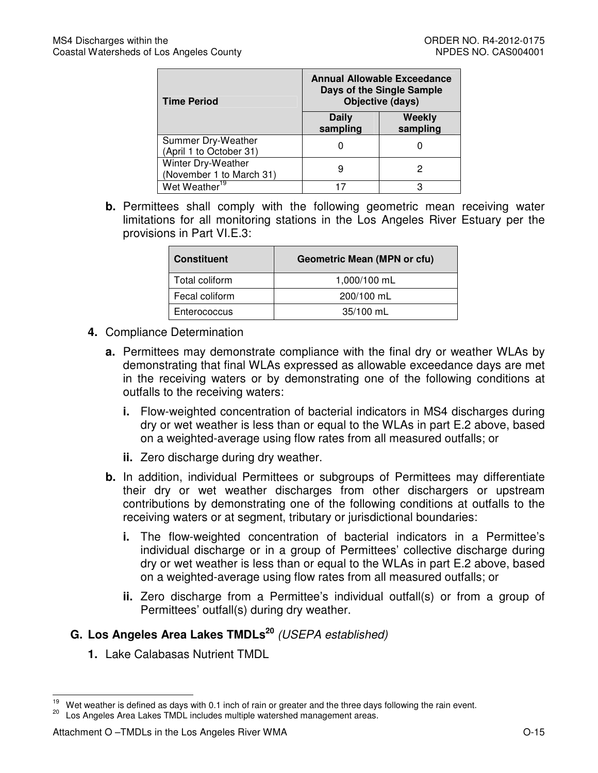| <b>Time Period</b>                             | <b>Annual Allowable Exceedance</b><br>Days of the Single Sample<br>Objective (days) |                    |  |
|------------------------------------------------|-------------------------------------------------------------------------------------|--------------------|--|
|                                                | Daily<br>sampling                                                                   | Weekly<br>sampling |  |
| Summer Dry-Weather<br>(April 1 to October 31)  |                                                                                     |                    |  |
| Winter Dry-Weather<br>(November 1 to March 31) | 9                                                                                   |                    |  |
| Wet Weather <sup>19</sup>                      |                                                                                     |                    |  |

**b.** Permittees shall comply with the following geometric mean receiving water limitations for all monitoring stations in the Los Angeles River Estuary per the provisions in Part VI.E.3:

| <b>Constituent</b> | <b>Geometric Mean (MPN or cfu)</b> |  |
|--------------------|------------------------------------|--|
| Total coliform     | 1,000/100 mL                       |  |
| Fecal coliform     | 200/100 mL                         |  |
| Enterococcus       | 35/100 mL                          |  |

- **4.** Compliance Determination
	- **a.** Permittees may demonstrate compliance with the final dry or weather WLAs by demonstrating that final WLAs expressed as allowable exceedance days are met in the receiving waters or by demonstrating one of the following conditions at outfalls to the receiving waters:
		- **i.** Flow-weighted concentration of bacterial indicators in MS4 discharges during dry or wet weather is less than or equal to the WLAs in part E.2 above, based on a weighted-average using flow rates from all measured outfalls; or
		- **ii.** Zero discharge during dry weather.
	- **b.** In addition, individual Permittees or subgroups of Permittees may differentiate their dry or wet weather discharges from other dischargers or upstream contributions by demonstrating one of the following conditions at outfalls to the receiving waters or at segment, tributary or jurisdictional boundaries:
		- **i.** The flow-weighted concentration of bacterial indicators in a Permittee's individual discharge or in a group of Permittees' collective discharge during dry or wet weather is less than or equal to the WLAs in part E.2 above, based on a weighted-average using flow rates from all measured outfalls; or
		- **ii.** Zero discharge from a Permittee's individual outfall(s) or from a group of Permittees' outfall(s) during dry weather.

# **G. Los Angeles Area Lakes TMDLs<sup>20</sup>** (USEPA established)

**1.** Lake Calabasas Nutrient TMDL

<sup>19</sup> Wet weather is defined as days with 0.1 inch of rain or greater and the three days following the rain event.

Los Angeles Area Lakes TMDL includes multiple watershed management areas.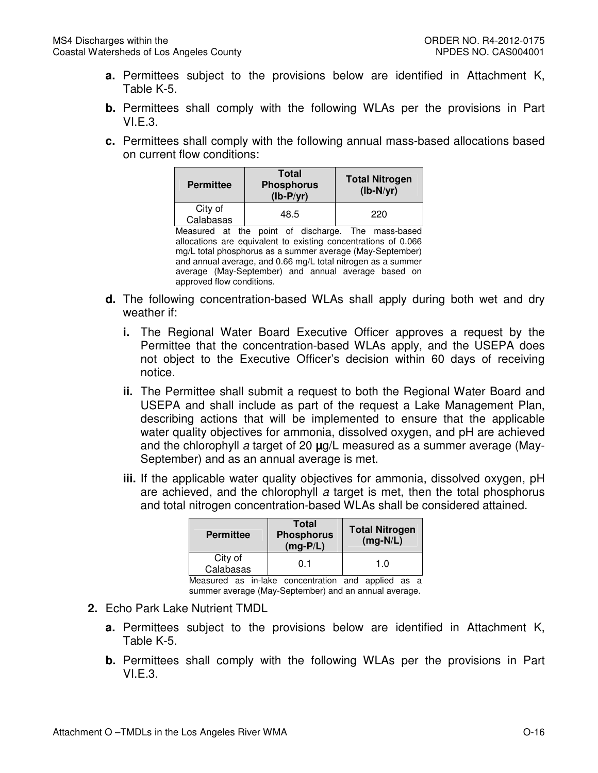- **a.** Permittees subject to the provisions below are identified in Attachment K, Table K-5.
- **b.** Permittees shall comply with the following WLAs per the provisions in Part VI.E.3.
- **c.** Permittees shall comply with the following annual mass-based allocations based on current flow conditions:

| <b>Permittee</b>     | <b>Total</b><br><b>Phosphorus</b><br>$(lb-P/yr)$ | <b>Total Nitrogen</b><br>$(lb-N/yr)$ |
|----------------------|--------------------------------------------------|--------------------------------------|
| City of<br>Calabasas | 48.5                                             | 220                                  |

Measured at the point of discharge. The mass-based allocations are equivalent to existing concentrations of 0.066 mg/L total phosphorus as a summer average (May-September) and annual average, and 0.66 mg/L total nitrogen as a summer average (May-September) and annual average based on approved flow conditions.

- **d.** The following concentration-based WLAs shall apply during both wet and dry weather if:
	- **i.** The Regional Water Board Executive Officer approves a request by the Permittee that the concentration-based WLAs apply, and the USEPA does not object to the Executive Officer's decision within 60 days of receiving notice.
	- **ii.** The Permittee shall submit a request to both the Regional Water Board and USEPA and shall include as part of the request a Lake Management Plan, describing actions that will be implemented to ensure that the applicable water quality objectives for ammonia, dissolved oxygen, and pH are achieved and the chlorophyll a target of 20 **µ**g/L measured as a summer average (May-September) and as an annual average is met.
	- **iii.** If the applicable water quality objectives for ammonia, dissolved oxygen, pH are achieved, and the chlorophyll a target is met, then the total phosphorus and total nitrogen concentration-based WLAs shall be considered attained.

| <b>Permittee</b>     | <b>Total</b><br><b>Phosphorus</b><br>$(mg-P/L)$ | <b>Total Nitrogen</b><br>$(mg-N/L)$ |
|----------------------|-------------------------------------------------|-------------------------------------|
| City of<br>Calabasas | 0.1                                             | 1.0                                 |

Measured as in-lake concentration and applied as a summer average (May-September) and an annual average.

- **2.** Echo Park Lake Nutrient TMDL
	- **a.** Permittees subject to the provisions below are identified in Attachment K, Table K-5.
	- **b.** Permittees shall comply with the following WLAs per the provisions in Part VI.E.3.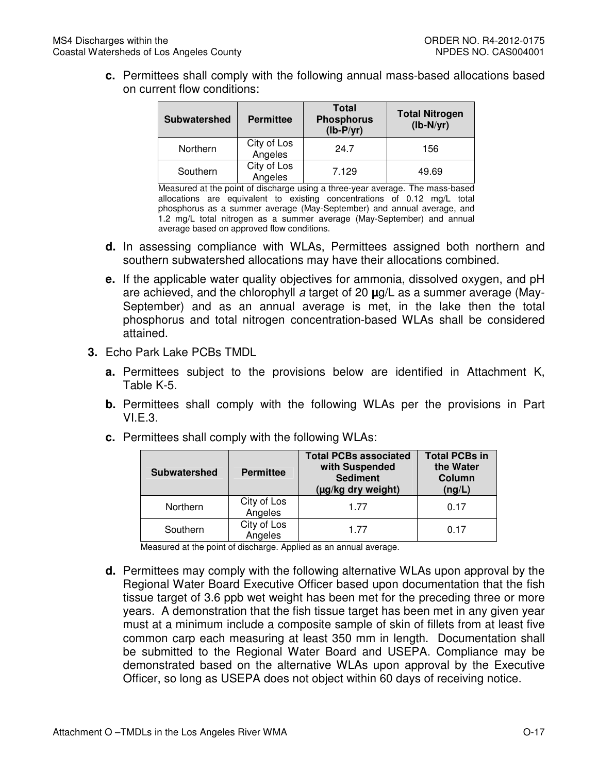**c.** Permittees shall comply with the following annual mass-based allocations based on current flow conditions:

| Subwatershed | <b>Permittee</b>       | <b>Total</b><br><b>Phosphorus</b><br>$(lb-P/yr)$ | <b>Total Nitrogen</b><br>$(lb-N/yr)$ |
|--------------|------------------------|--------------------------------------------------|--------------------------------------|
| Northern     | City of Los<br>Angeles | 24.7                                             | 156                                  |
| Southern     | City of Los<br>Angeles | 7.129                                            | 49.69                                |

Measured at the point of discharge using a three-year average. The mass-based allocations are equivalent to existing concentrations of 0.12 mg/L total phosphorus as a summer average (May-September) and annual average, and 1.2 mg/L total nitrogen as a summer average (May-September) and annual average based on approved flow conditions.

- **d.** In assessing compliance with WLAs, Permittees assigned both northern and southern subwatershed allocations may have their allocations combined.
- **e.** If the applicable water quality objectives for ammonia, dissolved oxygen, and pH are achieved, and the chlorophyll a target of 20 **µ**g/L as a summer average (May-September) and as an annual average is met, in the lake then the total phosphorus and total nitrogen concentration-based WLAs shall be considered attained.
- **3.** Echo Park Lake PCBs TMDL
	- **a.** Permittees subject to the provisions below are identified in Attachment K, Table K-5.
	- **b.** Permittees shall comply with the following WLAs per the provisions in Part  $VLE.3.$
	- **c.** Permittees shall comply with the following WLAs:

| <b>Subwatershed</b> | <b>Permittee</b>       | <b>Total PCBs associated</b><br>with Suspended<br><b>Sediment</b><br>(µg/kg dry weight) | <b>Total PCBs in</b><br>the Water<br>Column<br>(ng/L) |
|---------------------|------------------------|-----------------------------------------------------------------------------------------|-------------------------------------------------------|
| Northern            | City of Los<br>Angeles | 1.77                                                                                    | 0.17                                                  |
| Southern            | City of Los<br>Angeles | 1.77                                                                                    | 0.17                                                  |

Measured at the point of discharge. Applied as an annual average.

**d.** Permittees may comply with the following alternative WLAs upon approval by the Regional Water Board Executive Officer based upon documentation that the fish tissue target of 3.6 ppb wet weight has been met for the preceding three or more years. A demonstration that the fish tissue target has been met in any given year must at a minimum include a composite sample of skin of fillets from at least five common carp each measuring at least 350 mm in length. Documentation shall be submitted to the Regional Water Board and USEPA. Compliance may be demonstrated based on the alternative WLAs upon approval by the Executive Officer, so long as USEPA does not object within 60 days of receiving notice.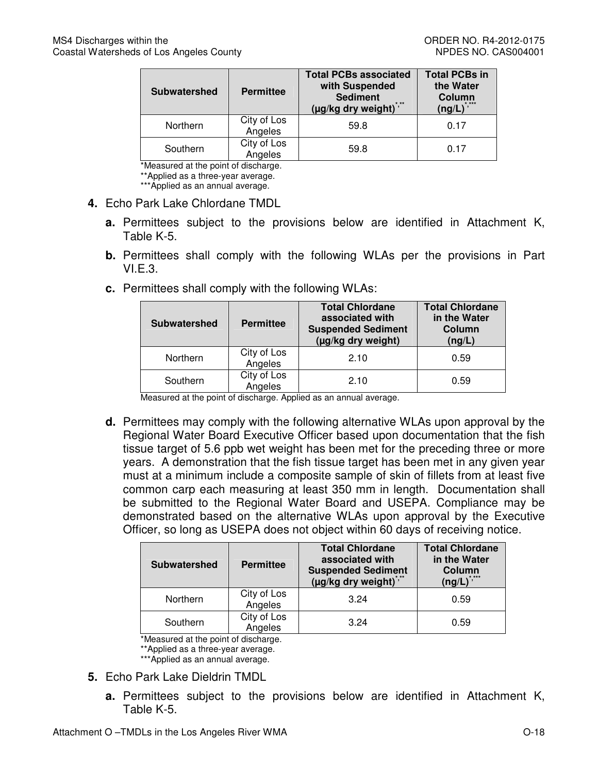| <b>Subwatershed</b> | <b>Permittee</b>       | <b>Total PCBs associated</b><br>with Suspended<br><b>Sediment</b><br>(µg/kg dry weight)*** | <b>Total PCBs in</b><br>the Water<br>Column<br>* ***<br>$($ ng/L $)^{\frac{1}{2}}$ |
|---------------------|------------------------|--------------------------------------------------------------------------------------------|------------------------------------------------------------------------------------|
| Northern            | City of Los<br>Angeles | 59.8                                                                                       | 0.17                                                                               |
| Southern            | City of Los<br>Angeles | 59.8                                                                                       | 0.17                                                                               |

\*Measured at the point of discharge.

\*\*Applied as a three-year average.

\*\*\*Applied as an annual average.

- **4.** Echo Park Lake Chlordane TMDL
	- **a.** Permittees subject to the provisions below are identified in Attachment K, Table K-5.
	- **b.** Permittees shall comply with the following WLAs per the provisions in Part VI.E.3.
	- **c.** Permittees shall comply with the following WLAs:

| <b>Subwatershed</b> | <b>Permittee</b>       | <b>Total Chlordane</b><br>associated with<br><b>Suspended Sediment</b><br>(µg/kg dry weight) | <b>Total Chlordane</b><br>in the Water<br>Column<br>(ng/L) |
|---------------------|------------------------|----------------------------------------------------------------------------------------------|------------------------------------------------------------|
| Northern            | City of Los<br>Angeles | 2.10                                                                                         | 0.59                                                       |
| Southern            | City of Los<br>Angeles | 2.10                                                                                         | 0.59                                                       |

Measured at the point of discharge. Applied as an annual average.

**d.** Permittees may comply with the following alternative WLAs upon approval by the Regional Water Board Executive Officer based upon documentation that the fish tissue target of 5.6 ppb wet weight has been met for the preceding three or more years. A demonstration that the fish tissue target has been met in any given year must at a minimum include a composite sample of skin of fillets from at least five common carp each measuring at least 350 mm in length. Documentation shall be submitted to the Regional Water Board and USEPA. Compliance may be demonstrated based on the alternative WLAs upon approval by the Executive Officer, so long as USEPA does not object within 60 days of receiving notice.

| <b>Subwatershed</b> | <b>Permittee</b>       | <b>Total Chlordane</b><br>associated with<br><b>Suspended Sediment</b><br>(µg/kg dry weight)" | <b>Total Chlordane</b><br>in the Water<br>Column<br>* ***<br>$(ng/L)^{7}$ |
|---------------------|------------------------|-----------------------------------------------------------------------------------------------|---------------------------------------------------------------------------|
| Northern            | City of Los<br>Angeles | 3.24                                                                                          | 0.59                                                                      |
| Southern            | City of Los<br>Angeles | 3.24                                                                                          | 0.59                                                                      |

\*Measured at the point of discharge.

\*\*Applied as a three-year average.

\*\*\*Applied as an annual average.

- **5.** Echo Park Lake Dieldrin TMDL
	- **a.** Permittees subject to the provisions below are identified in Attachment K, Table K-5.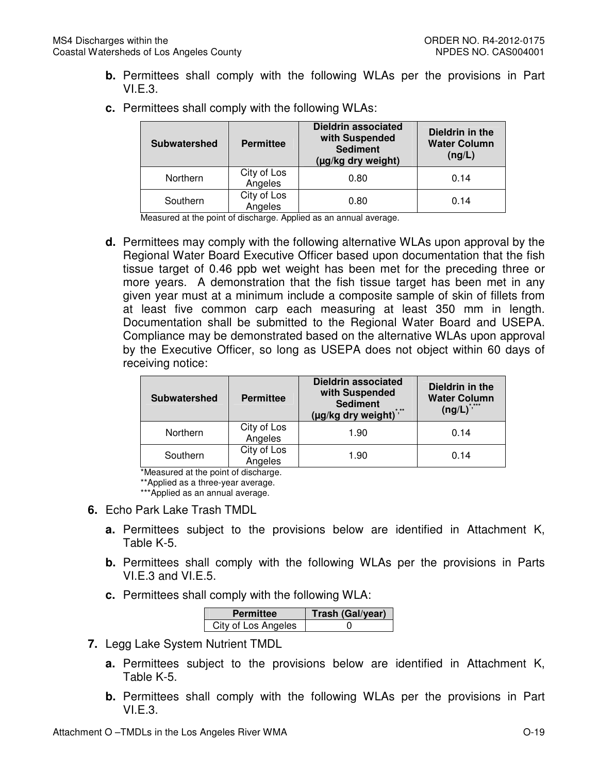**b.** Permittees shall comply with the following WLAs per the provisions in Part VI.E.3.

| <b>Subwatershed</b> | <b>Permittee</b>       | <b>Dieldrin associated</b><br>with Suspended<br><b>Sediment</b><br>(µg/kg dry weight) | Dieldrin in the<br><b>Water Column</b><br>(ng/L) |
|---------------------|------------------------|---------------------------------------------------------------------------------------|--------------------------------------------------|
| Northern            | City of Los<br>Angeles | 0.80                                                                                  | 0.14                                             |
| Southern            | City of Los<br>Angeles | 0.80                                                                                  | 0.14                                             |

**c.** Permittees shall comply with the following WLAs:

Measured at the point of discharge. Applied as an annual average.

**d.** Permittees may comply with the following alternative WLAs upon approval by the Regional Water Board Executive Officer based upon documentation that the fish tissue target of 0.46 ppb wet weight has been met for the preceding three or more years. A demonstration that the fish tissue target has been met in any given year must at a minimum include a composite sample of skin of fillets from at least five common carp each measuring at least 350 mm in length. Documentation shall be submitted to the Regional Water Board and USEPA. Compliance may be demonstrated based on the alternative WLAs upon approval by the Executive Officer, so long as USEPA does not object within 60 days of receiving notice:

| <b>Subwatershed</b> | <b>Permittee</b>       | <b>Dieldrin associated</b><br>with Suspended<br><b>Sediment</b><br>(µg/kg dry weight)*,** | Dieldrin in the<br><b>Water Column</b><br>$(ng/L)^{3}$ |
|---------------------|------------------------|-------------------------------------------------------------------------------------------|--------------------------------------------------------|
| Northern            | City of Los<br>Angeles | 1.90                                                                                      | 0.14                                                   |
| Southern            | City of Los<br>Angeles | 1.90                                                                                      | 0.14                                                   |

\*Measured at the point of discharge.

\*\*Applied as a three-year average.

\*\*\*Applied as an annual average.

- **6.** Echo Park Lake Trash TMDL
	- **a.** Permittees subject to the provisions below are identified in Attachment K, Table K-5.
	- **b.** Permittees shall comply with the following WLAs per the provisions in Parts VI.E.3 and VI.E.5.
	- **c.** Permittees shall comply with the following WLA:

| <b>Permittee</b>    | Trash (Gal/year) |
|---------------------|------------------|
| City of Los Angeles |                  |

- **7.** Legg Lake System Nutrient TMDL
	- **a.** Permittees subject to the provisions below are identified in Attachment K, Table K-5.
	- **b.** Permittees shall comply with the following WLAs per the provisions in Part VI.E.3.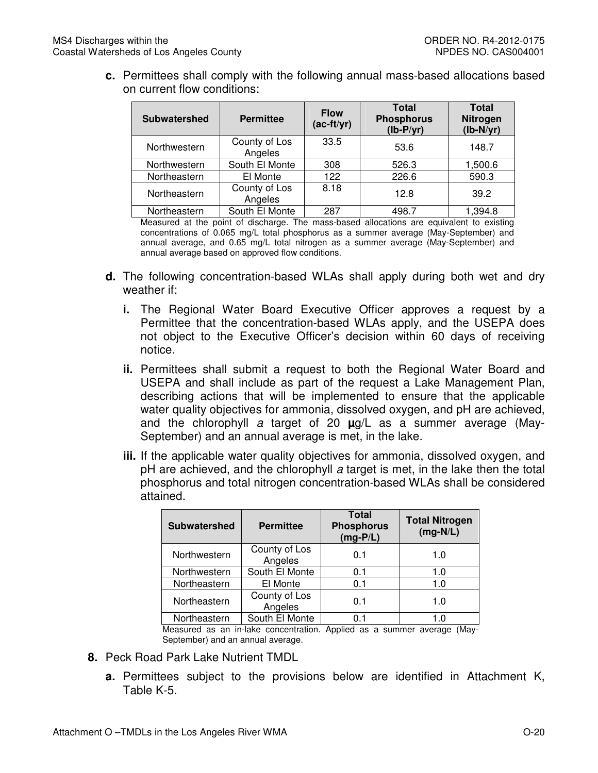**c.** Permittees shall comply with the following annual mass-based allocations based on current flow conditions:

| <b>Subwatershed</b> | <b>Permittee</b>         | <b>Flow</b><br>$(ac-ft/yr)$ | <b>Total</b><br><b>Phosphorus</b><br>$(lb-P/yr)$ | <b>Total</b><br><b>Nitrogen</b><br>$(lb-N/yr)$ |
|---------------------|--------------------------|-----------------------------|--------------------------------------------------|------------------------------------------------|
| Northwestern        | County of Los<br>Angeles | 33.5                        | 53.6                                             | 148.7                                          |
| Northwestern        | South El Monte           | 308                         | 526.3                                            | 1,500.6                                        |
| Northeastern        | El Monte                 | 122                         | 226.6                                            | 590.3                                          |
| Northeastern        | County of Los<br>Angeles | 8.18                        | 12.8                                             | 39.2                                           |
| Northeastern        | South El Monte           | 287                         | 498.7                                            | 1,394.8                                        |

Measured at the point of discharge. The mass-based allocations are equivalent to existing concentrations of 0.065 mg/L total phosphorus as a summer average (May-September) and annual average, and 0.65 mg/L total nitrogen as a summer average (May-September) and annual average based on approved flow conditions.

- **d.** The following concentration-based WLAs shall apply during both wet and dry weather if:
	- **i.** The Regional Water Board Executive Officer approves a request by a Permittee that the concentration-based WLAs apply, and the USEPA does not object to the Executive Officer's decision within 60 days of receiving notice.
	- **ii.** Permittees shall submit a request to both the Regional Water Board and USEPA and shall include as part of the request a Lake Management Plan, describing actions that will be implemented to ensure that the applicable water quality objectives for ammonia, dissolved oxygen, and pH are achieved, and the chlorophyll a target of 20 **µ**g/L as a summer average (May-September) and an annual average is met, in the lake.
	- **iii.** If the applicable water quality objectives for ammonia, dissolved oxygen, and pH are achieved, and the chlorophyll a target is met, in the lake then the total phosphorus and total nitrogen concentration-based WLAs shall be considered attained.

| <b>Subwatershed</b> | <b>Permittee</b>         | <b>Total</b><br><b>Phosphorus</b><br>$(mg-P/L)$ | <b>Total Nitrogen</b><br>$(mg-N/L)$ |
|---------------------|--------------------------|-------------------------------------------------|-------------------------------------|
| Northwestern        | County of Los<br>Angeles | 0.1                                             | 1.0                                 |
| Northwestern        | South El Monte           | 0.1                                             | 1.0                                 |
| Northeastern        | El Monte                 | 0.1                                             | 1.0                                 |
| Northeastern        | County of Los<br>Angeles | 0.1                                             | 1.0                                 |
| Northeastern        | South El Monte           | 0.1                                             | 1.0                                 |

Measured as an in-lake concentration. Applied as a summer average (May-September) and an annual average.

- **8.** Peck Road Park Lake Nutrient TMDL
	- **a.** Permittees subject to the provisions below are identified in Attachment K, Table K-5.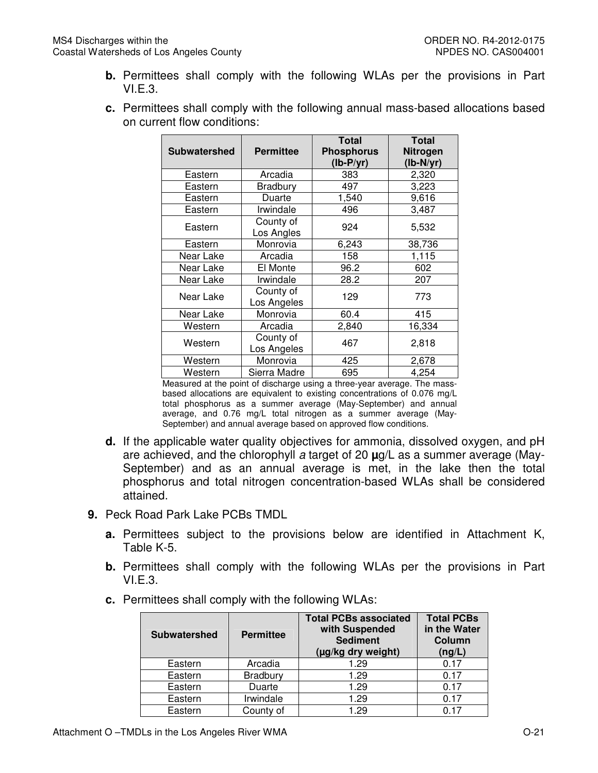- **b.** Permittees shall comply with the following WLAs per the provisions in Part VI.E.3.
- **c.** Permittees shall comply with the following annual mass-based allocations based on current flow conditions:

| <b>Subwatershed</b><br><b>Permittee</b> |                          | <b>Total</b><br><b>Phosphorus</b><br>$(lb-P/yr)$ | <b>Total</b><br>Nitrogen<br>$(lb-N/yr)$ |
|-----------------------------------------|--------------------------|--------------------------------------------------|-----------------------------------------|
| Eastern                                 | Arcadia                  | 383                                              | 2,320                                   |
| Eastern                                 | <b>Bradbury</b>          | 497                                              | 3,223                                   |
| Eastern                                 | Duarte                   | 1,540                                            | 9,616                                   |
| Eastern                                 | Irwindale                | 496                                              | 3,487                                   |
| Eastern                                 | County of<br>Los Angles  | 924                                              | 5,532                                   |
| Eastern                                 | Monrovia                 | 6,243                                            | 38,736                                  |
| Near Lake                               | Arcadia                  | 158                                              | 1,115                                   |
| Near Lake                               | El Monte                 | 96.2                                             | 602                                     |
| Near Lake                               | Irwindale                | 28.2                                             | 207                                     |
| Near Lake                               | County of<br>Los Angeles | 129                                              | 773                                     |
| Near Lake                               | Monrovia                 | 60.4                                             | 415                                     |
| Western                                 | Arcadia                  | 2,840                                            | 16,334                                  |
| County of<br>Western<br>Los Angeles     |                          | 467                                              | 2,818                                   |
| Western                                 | Monrovia                 | 425                                              | 2,678                                   |
| Western                                 | Sierra Madre             | 695                                              | 4,254                                   |

Measured at the point of discharge using a three-year average. The massbased allocations are equivalent to existing concentrations of 0.076 mg/L total phosphorus as a summer average (May-September) and annual average, and 0.76 mg/L total nitrogen as a summer average (May-September) and annual average based on approved flow conditions.

- **d.** If the applicable water quality objectives for ammonia, dissolved oxygen, and pH are achieved, and the chlorophyll a target of 20 **µ**g/L as a summer average (May-September) and as an annual average is met, in the lake then the total phosphorus and total nitrogen concentration-based WLAs shall be considered attained.
- **9.** Peck Road Park Lake PCBs TMDL
	- **a.** Permittees subject to the provisions below are identified in Attachment K, Table K-5.
	- **b.** Permittees shall comply with the following WLAs per the provisions in Part VI.E.3.
	- **c.** Permittees shall comply with the following WLAs:

| <b>Subwatershed</b> | <b>Permittee</b> | <b>Total PCBs associated</b><br>with Suspended<br><b>Sediment</b><br>(µg/kg dry weight) | <b>Total PCBs</b><br>in the Water<br>Column<br>(ng/L) |
|---------------------|------------------|-----------------------------------------------------------------------------------------|-------------------------------------------------------|
| Eastern             | Arcadia          | 1.29                                                                                    | 0.17                                                  |
| Eastern             | Bradbury         | 1.29                                                                                    | 0.17                                                  |
| Eastern             | Duarte           | 1.29                                                                                    | 0.17                                                  |
| Eastern             | Irwindale        | 1.29                                                                                    | 0.17                                                  |
| Eastern             | County of        | 1.29                                                                                    | በ 17                                                  |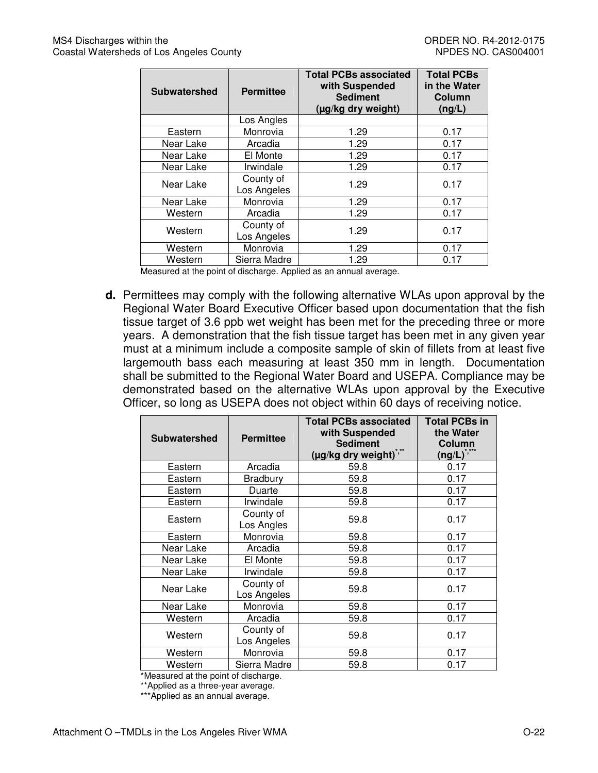| <b>Subwatershed</b> | <b>Permittee</b>         | <b>Total PCBs associated</b><br>with Suspended<br><b>Sediment</b><br>(µg/kg dry weight) | <b>Total PCBs</b><br>in the Water<br>Column<br>(ng/L) |
|---------------------|--------------------------|-----------------------------------------------------------------------------------------|-------------------------------------------------------|
|                     | Los Angles               |                                                                                         |                                                       |
| Eastern             | Monrovia                 | 1.29                                                                                    | 0.17                                                  |
| Near Lake           | Arcadia                  | 1.29                                                                                    | 0.17                                                  |
| Near Lake           | El Monte                 | 1.29                                                                                    | 0.17                                                  |
| Near Lake           | Irwindale                | 1.29                                                                                    | 0.17                                                  |
| Near Lake           | County of<br>Los Angeles | 1.29                                                                                    | 0.17                                                  |
| Near Lake           | Monrovia                 | 1.29                                                                                    | 0.17                                                  |
| Western             | Arcadia                  | 1.29                                                                                    | 0.17                                                  |
| Western             | County of<br>Los Angeles | 1.29                                                                                    | 0.17                                                  |
| Western             | Monrovia                 | 1.29                                                                                    | 0.17                                                  |
| Western             | Sierra Madre             | 1.29                                                                                    | 0.17                                                  |

Measured at the point of discharge. Applied as an annual average.

**d.** Permittees may comply with the following alternative WLAs upon approval by the Regional Water Board Executive Officer based upon documentation that the fish tissue target of 3.6 ppb wet weight has been met for the preceding three or more years. A demonstration that the fish tissue target has been met in any given year must at a minimum include a composite sample of skin of fillets from at least five largemouth bass each measuring at least 350 mm in length. Documentation shall be submitted to the Regional Water Board and USEPA. Compliance may be demonstrated based on the alternative WLAs upon approval by the Executive Officer, so long as USEPA does not object within 60 days of receiving notice.

| <b>Subwatershed</b> | <b>Permittee</b>         | <b>Total PCBs associated</b><br>with Suspended<br><b>Sediment</b><br>* **<br>(µg/kg dry weight)" | <b>Total PCBs in</b><br>the Water<br>Column<br>$(ng/L)^{3}$ |
|---------------------|--------------------------|--------------------------------------------------------------------------------------------------|-------------------------------------------------------------|
| Eastern             | Arcadia                  | 59.8                                                                                             | 0.17                                                        |
| Eastern             | <b>Bradbury</b>          | 59.8                                                                                             | 0.17                                                        |
| Eastern             | Duarte                   | 59.8                                                                                             | 0.17                                                        |
| Eastern             | Irwindale                | 59.8                                                                                             | 0.17                                                        |
| Eastern             | County of<br>Los Angles  | 59.8                                                                                             | 0.17                                                        |
| Eastern             | Monrovia                 | 59.8                                                                                             | 0.17                                                        |
| Near Lake           | Arcadia                  | 59.8                                                                                             | 0.17                                                        |
| Near Lake           | El Monte                 | 59.8                                                                                             | 0.17                                                        |
| Near Lake           | Irwindale                | 59.8                                                                                             | 0.17                                                        |
| Near Lake           | County of<br>Los Angeles | 59.8                                                                                             | 0.17                                                        |
| Near Lake           | Monrovia                 | 59.8                                                                                             | 0.17                                                        |
| Western             | Arcadia                  | 59.8                                                                                             | 0.17                                                        |
| Western             | County of<br>Los Angeles | 59.8                                                                                             | 0.17                                                        |
| Western             | Monrovia                 | 59.8                                                                                             | 0.17                                                        |
| Western             | Sierra Madre             | 59.8                                                                                             | 0.17                                                        |

\*Measured at the point of discharge.

\*\*Applied as a three-year average.

\*\*\*Applied as an annual average.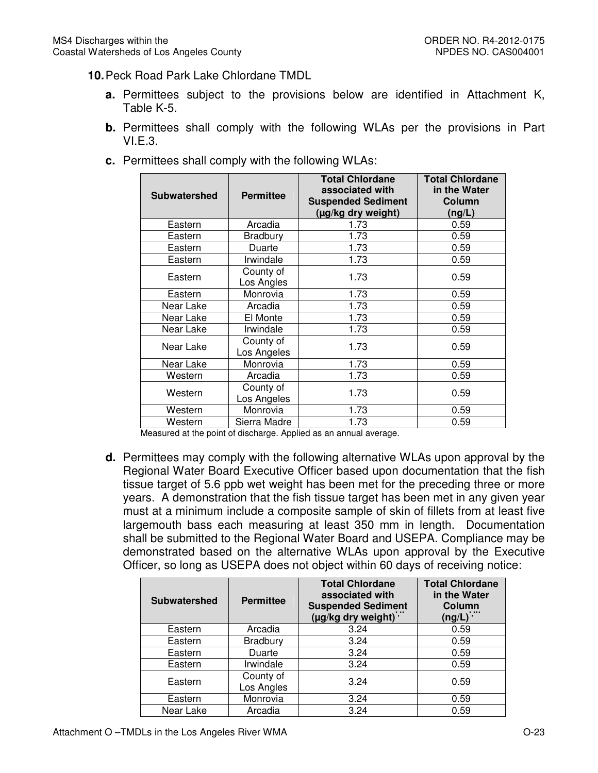## **10.** Peck Road Park Lake Chlordane TMDL

- **a.** Permittees subject to the provisions below are identified in Attachment K, Table K-5.
- **b.** Permittees shall comply with the following WLAs per the provisions in Part VI.E.3.
- **c.** Permittees shall comply with the following WLAs:

| <b>Subwatershed</b> | <b>Permittee</b>         | <b>Total Chlordane</b><br>associated with<br><b>Suspended Sediment</b><br>(µg/kg dry weight) | <b>Total Chlordane</b><br>in the Water<br>Column<br>(ng/L) |
|---------------------|--------------------------|----------------------------------------------------------------------------------------------|------------------------------------------------------------|
| Eastern             | Arcadia                  | 1.73                                                                                         | 0.59                                                       |
| Eastern             | Bradbury                 | 1.73                                                                                         | 0.59                                                       |
| Eastern             | Duarte                   | 1.73                                                                                         | 0.59                                                       |
| Eastern             | Irwindale                | 1.73                                                                                         | 0.59                                                       |
| Eastern             | County of<br>Los Angles  | 1.73                                                                                         | 0.59                                                       |
| Eastern             | Monrovia                 | 1.73                                                                                         | 0.59                                                       |
| Near Lake           | Arcadia                  | 1.73                                                                                         | 0.59                                                       |
| Near Lake           | El Monte                 | 1.73                                                                                         | 0.59                                                       |
| Near Lake           | Irwindale                | 1.73                                                                                         | 0.59                                                       |
| Near Lake           | County of<br>Los Angeles | 1.73                                                                                         | 0.59                                                       |
| Near Lake           | Monrovia                 | 1.73                                                                                         | 0.59                                                       |
| Western             | Arcadia                  | 1.73                                                                                         | 0.59                                                       |
| Western             | County of<br>Los Angeles | 1.73                                                                                         | 0.59                                                       |
| Western             | Monrovia                 | 1.73                                                                                         | 0.59                                                       |
| Western             | Sierra Madre             | 1.73                                                                                         | 0.59                                                       |

Measured at the point of discharge. Applied as an annual average.

**d.** Permittees may comply with the following alternative WLAs upon approval by the Regional Water Board Executive Officer based upon documentation that the fish tissue target of 5.6 ppb wet weight has been met for the preceding three or more years. A demonstration that the fish tissue target has been met in any given year must at a minimum include a composite sample of skin of fillets from at least five largemouth bass each measuring at least 350 mm in length. Documentation shall be submitted to the Regional Water Board and USEPA. Compliance may be demonstrated based on the alternative WLAs upon approval by the Executive Officer, so long as USEPA does not object within 60 days of receiving notice:

| <b>Subwatershed</b> | <b>Permittee</b>        | <b>Total Chlordane</b><br>associated with<br><b>Suspended Sediment</b><br>(µg/kg dry weight)" | <b>Total Chlordane</b><br>in the Water<br>Column<br>$(ng/L)^{\hat{}}$ |
|---------------------|-------------------------|-----------------------------------------------------------------------------------------------|-----------------------------------------------------------------------|
| Eastern             | Arcadia                 | 3.24                                                                                          | 0.59                                                                  |
| Eastern             | Bradbury                | 3.24                                                                                          | 0.59                                                                  |
| Eastern             | Duarte                  | 3.24                                                                                          | 0.59                                                                  |
| Eastern             | Irwindale               | 3.24                                                                                          | 0.59                                                                  |
| Eastern             | County of<br>Los Angles | 3.24                                                                                          | 0.59                                                                  |
| Eastern             | Monrovia                | 3.24                                                                                          | 0.59                                                                  |
| Near Lake           | Arcadia                 | 3.24                                                                                          | 0.59                                                                  |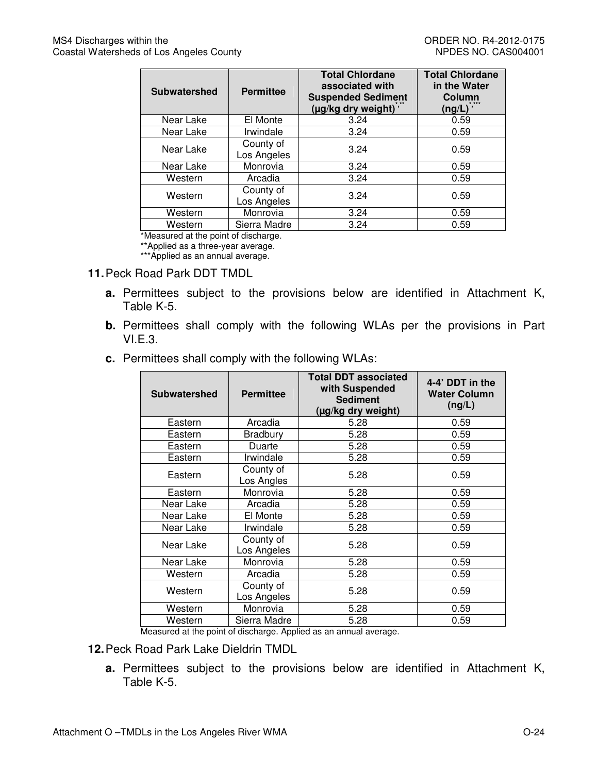| <b>Subwatershed</b> | <b>Permittee</b>         | <b>Total Chlordane</b><br>associated with<br><b>Suspended Sediment</b><br>(µg/kg dry weight) | <b>Total Chlordane</b><br>in the Water<br>Column<br>(ng/L) |
|---------------------|--------------------------|----------------------------------------------------------------------------------------------|------------------------------------------------------------|
| Near Lake           | El Monte                 | 3.24                                                                                         | 0.59                                                       |
| Near Lake           | Irwindale                | 3.24                                                                                         | 0.59                                                       |
| Near Lake           | County of<br>Los Angeles | 3.24                                                                                         | 0.59                                                       |
| Near Lake           | Monrovia                 | 3.24                                                                                         | 0.59                                                       |
| Western             | Arcadia                  | 3.24                                                                                         | 0.59                                                       |
| Western             | County of<br>Los Angeles | 3.24                                                                                         | 0.59                                                       |
| Western             | Monrovia                 | 3.24                                                                                         | 0.59                                                       |
| Western             | Sierra Madre             | 3.24                                                                                         | 0.59                                                       |

\*Measured at the point of discharge.

\*\*Applied as a three-year average.

\*\*\*Applied as an annual average.

#### **11.** Peck Road Park DDT TMDL

- **a.** Permittees subject to the provisions below are identified in Attachment K, Table K-5.
- **b.** Permittees shall comply with the following WLAs per the provisions in Part VI.E.3.
- **c.** Permittees shall comply with the following WLAs:

| <b>Subwatershed</b> | <b>Permittee</b>         | <b>Total DDT associated</b><br>with Suspended<br><b>Sediment</b><br>(µg/kg dry weight) | 4-4' DDT in the<br><b>Water Column</b><br>(ng/L) |
|---------------------|--------------------------|----------------------------------------------------------------------------------------|--------------------------------------------------|
| Eastern             | Arcadia                  | 5.28                                                                                   | 0.59                                             |
| Eastern             | <b>Bradbury</b>          | 5.28                                                                                   | 0.59                                             |
| Eastern             | Duarte                   | 5.28                                                                                   | 0.59                                             |
| Eastern             | Irwindale                | 5.28                                                                                   | 0.59                                             |
| Eastern             | County of<br>Los Angles  | 5.28                                                                                   | 0.59                                             |
| Eastern             | Monrovia                 | 5.28                                                                                   | 0.59                                             |
| Near Lake           | Arcadia                  | 5.28                                                                                   | 0.59                                             |
| Near Lake           | El Monte                 | 5.28                                                                                   | 0.59                                             |
| Near Lake           | Irwindale                | 5.28                                                                                   | 0.59                                             |
| Near Lake           | County of<br>Los Angeles | 5.28                                                                                   | 0.59                                             |
| Near Lake           | Monrovia                 | 5.28                                                                                   | 0.59                                             |
| Western             | Arcadia                  | 5.28                                                                                   | 0.59                                             |
| Western             | County of<br>Los Angeles | 5.28                                                                                   | 0.59                                             |
| Western             | Monrovia                 | 5.28                                                                                   | 0.59                                             |
| Western             | Sierra Madre             | 5.28                                                                                   | 0.59                                             |

Measured at the point of discharge. Applied as an annual average.

- **12.** Peck Road Park Lake Dieldrin TMDL
	- **a.** Permittees subject to the provisions below are identified in Attachment K, Table K-5.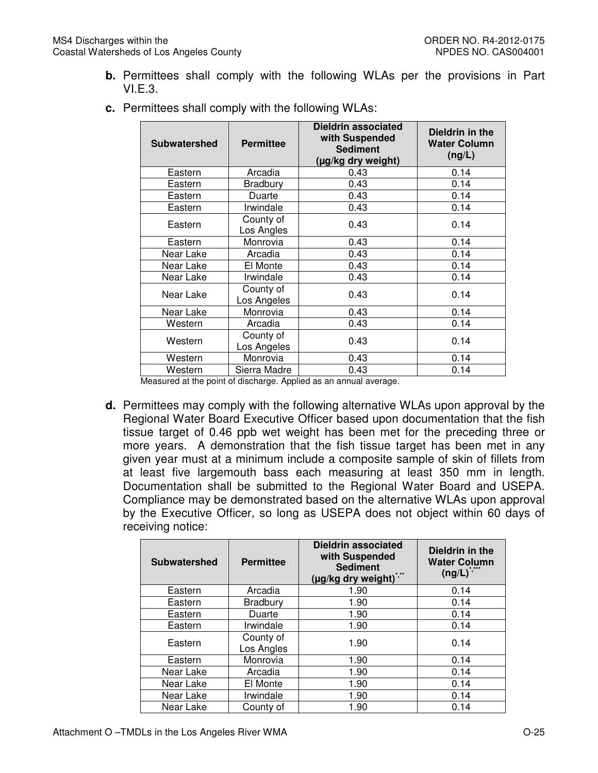**b.** Permittees shall comply with the following WLAs per the provisions in Part VI.E.3.

| <b>Subwatershed</b> | <b>Permittee</b>         | <b>Dieldrin associated</b><br>with Suspended<br><b>Sediment</b><br>(µg/kg dry weight) | Dieldrin in the<br><b>Water Column</b><br>(ng/L) |
|---------------------|--------------------------|---------------------------------------------------------------------------------------|--------------------------------------------------|
| Eastern             | Arcadia                  | 0.43                                                                                  | 0.14                                             |
| Eastern             | <b>Bradbury</b>          | 0.43                                                                                  | 0.14                                             |
| Eastern             | Duarte                   | 0.43                                                                                  | 0.14                                             |
| Eastern             | Irwindale                | 0.43                                                                                  | 0.14                                             |
| Eastern             | County of<br>Los Angles  | 0.43                                                                                  | 0.14                                             |
| Eastern             | Monrovia                 | 0.43                                                                                  | 0.14                                             |
| Near Lake           | Arcadia                  | 0.43                                                                                  | 0.14                                             |
| Near Lake           | El Monte                 | 0.43                                                                                  | 0.14                                             |
| Near Lake           | Irwindale                | 0.43                                                                                  | 0.14                                             |
| Near Lake           | County of<br>Los Angeles | 0.43                                                                                  | 0.14                                             |
| Near Lake           | Monrovia                 | 0.43                                                                                  | 0.14                                             |
| Western             | Arcadia                  | 0.43                                                                                  | 0.14                                             |
| Western             | County of<br>Los Angeles | 0.43                                                                                  | 0.14                                             |
| Western             | Monrovia                 | 0.43                                                                                  | 0.14                                             |
| Western             | Sierra Madre             | 0.43                                                                                  | 0.14                                             |

**c.** Permittees shall comply with the following WLAs:

Measured at the point of discharge. Applied as an annual average.

**d.** Permittees may comply with the following alternative WLAs upon approval by the Regional Water Board Executive Officer based upon documentation that the fish tissue target of 0.46 ppb wet weight has been met for the preceding three or more years. A demonstration that the fish tissue target has been met in any given year must at a minimum include a composite sample of skin of fillets from at least five largemouth bass each measuring at least 350 mm in length. Documentation shall be submitted to the Regional Water Board and USEPA. Compliance may be demonstrated based on the alternative WLAs upon approval by the Executive Officer, so long as USEPA does not object within 60 days of receiving notice:

| <b>Subwatershed</b> | <b>Permittee</b>        | Dieldrin associated<br>with Suspended<br><b>Sediment</b><br>(µg/kg dry weight) | Dieldrin in the<br><b>Water Column</b><br>$(ng/L)^{5}$ |
|---------------------|-------------------------|--------------------------------------------------------------------------------|--------------------------------------------------------|
| Eastern             | Arcadia                 | 1.90                                                                           | 0.14                                                   |
| Eastern             | <b>Bradbury</b>         | 1.90                                                                           | 0.14                                                   |
| Eastern             | Duarte                  | 1.90                                                                           | 0.14                                                   |
| Eastern             | Irwindale               | 1.90                                                                           | 0.14                                                   |
| Eastern             | County of<br>Los Angles | 1.90                                                                           | 0.14                                                   |
| Eastern             | Monrovia                | 1.90                                                                           | 0.14                                                   |
| Near Lake           | Arcadia                 | 1.90                                                                           | 0.14                                                   |
| Near Lake           | El Monte                | 1.90                                                                           | 0.14                                                   |
| Near Lake           | Irwindale               | 1.90                                                                           | 0.14                                                   |
| Near Lake           | County of               | 1.90                                                                           | 0.14                                                   |